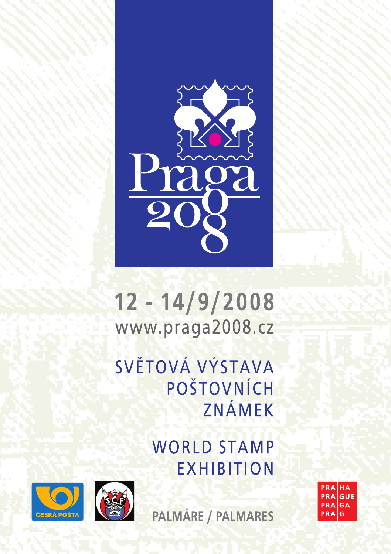

 $12 - 14/9/2008$ www.praga2008.cz

SVĚTOVÁ VÝSTAVA POŠTOVNÍCH ZNÁMEK

> **WORLD STAMP EXHIBITION**



PALMÁRE / PALMARES

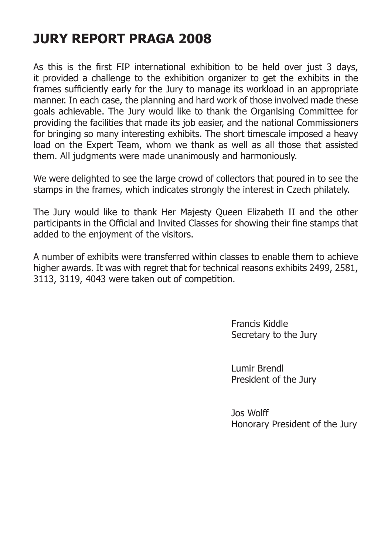## **JURY REPORT PRAGA 2008**

As this is the first FIP international exhibition to be held over just 3 days, it provided a challenge to the exhibition organizer to get the exhibits in the frames sufficiently early for the Jury to manage its workload in an appropriate manner. In each case, the planning and hard work of those involved made these goals achievable. The Jury would like to thank the Organising Committee for providing the facilities that made its job easier, and the national Commissioners for bringing so many interesting exhibits. The short timescale imposed a heavy load on the Expert Team, whom we thank as well as all those that assisted them. All judgments were made unanimously and harmoniously.

We were delighted to see the large crowd of collectors that poured in to see the stamps in the frames, which indicates strongly the interest in Czech philately.

The Jury would like to thank Her Majesty Queen Elizabeth II and the other participants in the Official and Invited Classes for showing their fine stamps that added to the enjoyment of the visitors.

A number of exhibits were transferred within classes to enable them to achieve higher awards. It was with regret that for technical reasons exhibits 2499, 2581, 3113, 3119, 4043 were taken out of competition.

> Francis Kiddle Secretary to the Jury

> Lumir Brendl President of the Jury

Jos Wolff Honorary President of the Jury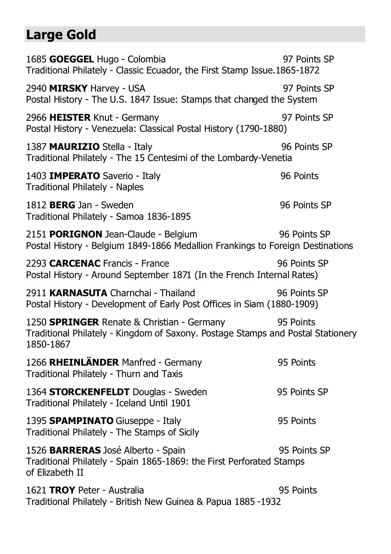## **Large Gold**

1685 **GOEGGEL** Hugo - Colombia 97 Points SP Traditional Philately - Classic Ecuador, the First Stamp Issue.1865-1872 2940 **MIRSKY** Harvey - USA 97 Points SP Postal History - The U.S. 1847 Issue: Stamps that changed the System 2966 **HEISTER** Knut - Germany 197 Points SP Postal History - Venezuela: Classical Postal History (1790-1880) 1387 **MAURIZIO** Stella - Italy 96 Points SP Traditional Philately - The 15 Centesimi of the Lombardy-Venetia 1403 **IMPERATO** Saverio - Italy 96 Points Traditional Philately - Naples 1812 **BERG** Jan - Sweden 96 Points SP Traditional Philately - Samoa 1836-1895 2151 **PORIGNON** Jean-Claude - Belgium 96 Points SP Postal History - Belgium 1849-1866 Medallion Frankings to Foreign Destinations 2293 **CARCENAC** Francis - France 96 Points SP Postal History - Around September 1871 (In the French Internal Rates) 2911 **KARNASUTA** Charnchai - Thailand 96 Points SP Postal History - Development of Early Post Offices in Siam (1880-1909) 1250 **SPRINGER** Renate & Christian - Germany 95 Points Traditional Philately - Kingdom of Saxony. Postage Stamps and Postal Stationery 1850-1867 1266 **RHEINLÄNDER** Manfred - Germany 95 Points Traditional Philately - Thurn and Taxis 1364 **STORCKENFELDT** Douglas - Sweden 95 Points SP Traditional Philately - Iceland Until 1901 1395 **SPAMPINATO** Giuseppe - Italy 95 Points Traditional Philately - The Stamps of Sicily 1526 **BARRERAS** José Alberto - Spain 95 Points SP Traditional Philately - Spain 1865-1869: the First Perforated Stamps of Elizabeth II 1621 **TROY** Peter - Australia 95 Points Traditional Philately - British New Guinea & Papua 1885 -1932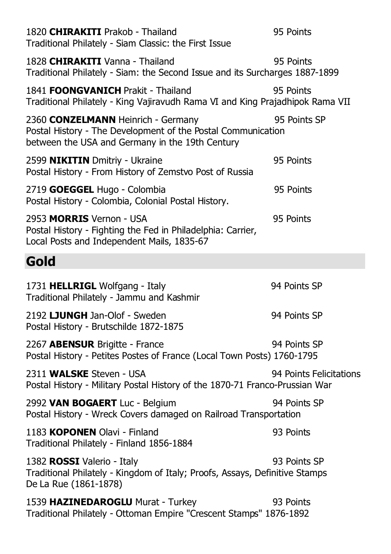| 1820 CHIRAKITI Prakob - Thailand<br>Traditional Philately - Siam Classic: the First Issue                                                             | 95 Points               |
|-------------------------------------------------------------------------------------------------------------------------------------------------------|-------------------------|
| 1828 CHIRAKITI Vanna - Thailand<br>Traditional Philately - Siam: the Second Issue and its Surcharges 1887-1899                                        | 95 Points               |
| 1841 <b>FOONGVANICH</b> Prakit - Thailand<br>Traditional Philately - King Vajiravudh Rama VI and King Prajadhipok Rama VII                            | 95 Points               |
| 2360 CONZELMANN Heinrich - Germany<br>Postal History - The Development of the Postal Communication<br>between the USA and Germany in the 19th Century | 95 Points SP            |
| 2599 NIKITIN Dmitriy - Ukraine<br>Postal History - From History of Zemstvo Post of Russia                                                             | 95 Points               |
| 2719 GOEGGEL Hugo - Colombia<br>Postal History - Colombia, Colonial Postal History.                                                                   | 95 Points               |
| 2953 MORRIS Vernon - USA<br>Postal History - Fighting the Fed in Philadelphia: Carrier,<br>Local Posts and Independent Mails, 1835-67                 | 95 Points               |
| Gold                                                                                                                                                  |                         |
| 1731 HELLRIGL Wolfgang - Italy<br>Traditional Philately - Jammu and Kashmir                                                                           | 94 Points SP            |
| 2192 LJUNGH Jan-Olof - Sweden<br>Postal History - Brutschilde 1872-1875                                                                               | 94 Points SP            |
| 2267 ABENSUR Brigitte - France<br>Postal History - Petites Postes of France (Local Town Posts) 1760-1795                                              | 94 Points SP            |
| 2311 WALSKE Steven - USA<br>Postal History - Military Postal History of the 1870-71 Franco-Prussian War                                               | 94 Points Felicitations |
| 2992 VAN BOGAERT Luc - Belgium<br>Postal History - Wreck Covers damaged on Railroad Transportation                                                    | 94 Points SP            |
| 1183 KOPONEN Olavi - Finland<br>Traditional Philately - Finland 1856-1884                                                                             | 93 Points               |
| 1382 ROSSI Valerio - Italy<br>Traditional Philately - Kingdom of Italy; Proofs, Assays, Definitive Stamps<br>De La Rue (1861-1878)                    | 93 Points SP            |
| 1539 HAZINEDAROGLU Murat - Turkey<br>Traditional Philately - Ottoman Empire "Crescent Stamps" 1876-1892                                               | 93 Points               |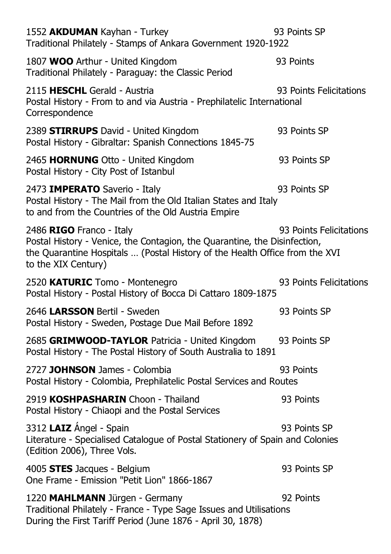| 1552 AKDUMAN Kayhan - Turkey<br>Traditional Philately - Stamps of Ankara Government 1920-1922                                                                                                               | 93 Points SP            |
|-------------------------------------------------------------------------------------------------------------------------------------------------------------------------------------------------------------|-------------------------|
| 1807 WOO Arthur - United Kingdom<br>Traditional Philately - Paraguay: the Classic Period                                                                                                                    | 93 Points               |
| 2115 HESCHL Gerald - Austria<br>Postal History - From to and via Austria - Prephilatelic International<br>Correspondence                                                                                    | 93 Points Felicitations |
| 2389 STIRRUPS David - United Kingdom<br>Postal History - Gibraltar: Spanish Connections 1845-75                                                                                                             | 93 Points SP            |
| 2465 HORNUNG Otto - United Kingdom<br>Postal History - City Post of Istanbul                                                                                                                                | 93 Points SP            |
| 2473 IMPERATO Saverio - Italy<br>Postal History - The Mail from the Old Italian States and Italy<br>to and from the Countries of the Old Austria Empire                                                     | 93 Points SP            |
| 2486 RIGO Franco - Italy<br>Postal History - Venice, the Contagion, the Quarantine, the Disinfection,<br>the Quarantine Hospitals  (Postal History of the Health Office from the XVI<br>to the XIX Century) | 93 Points Felicitations |
| 2520 KATURIC Tomo - Montenegro<br>Postal History - Postal History of Bocca Di Cattaro 1809-1875                                                                                                             | 93 Points Felicitations |
| 2646 LARSSON Bertil - Sweden<br>Postal History - Sweden, Postage Due Mail Before 1892                                                                                                                       | 93 Points SP            |
| 2685 GRIMWOOD-TAYLOR Patricia - United Kingdom<br>Postal History - The Postal History of South Australia to 1891                                                                                            | 93 Points SP            |
| 2727 JOHNSON James - Colombia<br>Postal History - Colombia, Prephilatelic Postal Services and Routes                                                                                                        | 93 Points               |
| 2919 KOSHPASHARIN Choon - Thailand<br>Postal History - Chiaopi and the Postal Services                                                                                                                      | 93 Points               |
| 3312 LAIZ Angel - Spain<br>Literature - Specialised Catalogue of Postal Stationery of Spain and Colonies<br>(Edition 2006), Three Vols.                                                                     | 93 Points SP            |
| 4005 STES Jacques - Belgium<br>One Frame - Emission "Petit Lion" 1866-1867                                                                                                                                  | 93 Points SP            |
| 1220 MAHLMANN Jürgen - Germany<br>Traditional Philately - France - Type Sage Issues and Utilisations<br>During the First Tariff Period (June 1876 - April 30, 1878)                                         | 92 Points               |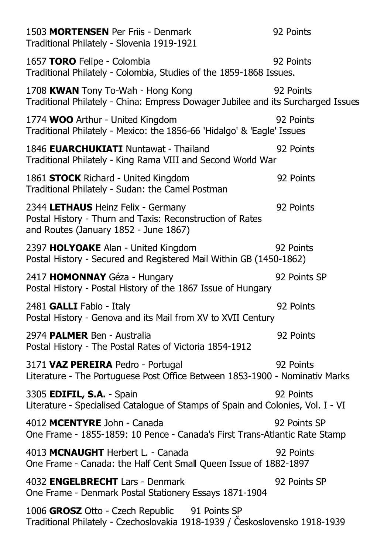| 1503 MORTENSEN Per Friis - Denmark<br>Traditional Philately - Slovenia 1919-1921                                                         | 92 Points    |
|------------------------------------------------------------------------------------------------------------------------------------------|--------------|
| 1657 TORO Felipe - Colombia<br>Traditional Philately - Colombia, Studies of the 1859-1868 Issues.                                        | 92 Points    |
| 1708 KWAN Tony To-Wah - Hong Kong<br>Traditional Philately - China: Empress Dowager Jubilee and its Surcharged Issues                    | 92 Points    |
| 1774 WOO Arthur - United Kingdom<br>Traditional Philately - Mexico: the 1856-66 'Hidalgo' & 'Eagle' Issues                               | 92 Points    |
| 1846 EUARCHUKIATI Nuntawat - Thailand<br>Traditional Philately - King Rama VIII and Second World War                                     | 92 Points    |
| 1861 STOCK Richard - United Kingdom<br>Traditional Philately - Sudan: the Camel Postman                                                  | 92 Points    |
| 2344 LETHAUS Heinz Felix - Germany<br>Postal History - Thurn and Taxis: Reconstruction of Rates<br>and Routes (January 1852 - June 1867) | 92 Points    |
| 2397 HOLYOAKE Alan - United Kingdom<br>Postal History - Secured and Registered Mail Within GB (1450-1862)                                | 92 Points    |
| 2417 HOMONNAY Géza - Hungary<br>Postal History - Postal History of the 1867 Issue of Hungary                                             | 92 Points SP |
| 2481 GALLI Fabio - Italy<br>Postal History - Genova and its Mail from XV to XVII Century                                                 | 92 Points    |
| 2974 PALMER Ben - Australia<br>Postal History - The Postal Rates of Victoria 1854-1912                                                   | 92 Points    |
| 3171 VAZ PEREIRA Pedro - Portugal<br>Literature - The Portuguese Post Office Between 1853-1900 - Nominativ Marks                         | 92 Points    |
| 3305 EDIFIL, S.A. - Spain<br>Literature - Specialised Catalogue of Stamps of Spain and Colonies, Vol. I - VI                             | 92 Points    |
| 4012 MCENTYRE John - Canada<br>One Frame - 1855-1859: 10 Pence - Canada's First Trans-Atlantic Rate Stamp                                | 92 Points SP |
| 4013 MCNAUGHT Herbert L. - Canada<br>One Frame - Canada: the Half Cent Small Queen Issue of 1882-1897                                    | 92 Points    |
| 4032 ENGELBRECHT Lars - Denmark<br>One Frame - Denmark Postal Stationery Essays 1871-1904                                                | 92 Points SP |
| 1006 GROSZ Otto - Czech Republic 91 Points SP<br>Traditional Philately - Czechoslovakia 1918-1939 / Československo 1918-1939             |              |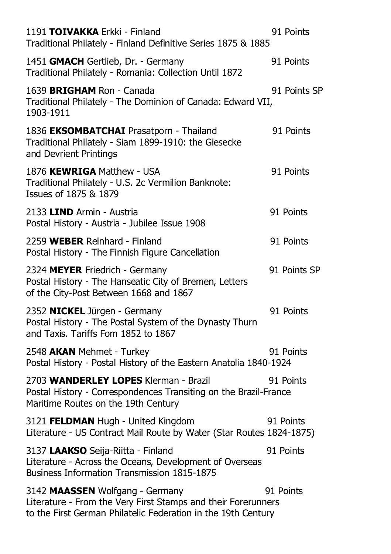| 91 Points<br>Traditional Philately - Finland Definitive Series 1875 & 1885                                                                  |
|---------------------------------------------------------------------------------------------------------------------------------------------|
| 91 Points                                                                                                                                   |
| 91 Points SP<br>Traditional Philately - The Dominion of Canada: Edward VII,                                                                 |
| 91 Points                                                                                                                                   |
| 91 Points                                                                                                                                   |
| 91 Points                                                                                                                                   |
| 91 Points                                                                                                                                   |
| 91 Points SP                                                                                                                                |
| 91 Points                                                                                                                                   |
| 91 Points<br>Postal History - Postal History of the Eastern Anatolia 1840-1924                                                              |
| 91 Points<br>Postal History - Correspondences Transiting on the Brazil-France                                                               |
| 91 Points<br>Literature - US Contract Mail Route by Water (Star Routes 1824-1875)                                                           |
| 91 Points                                                                                                                                   |
| 91 Points<br>Literature - From the Very First Stamps and their Forerunners<br>to the First German Philatelic Federation in the 19th Century |
|                                                                                                                                             |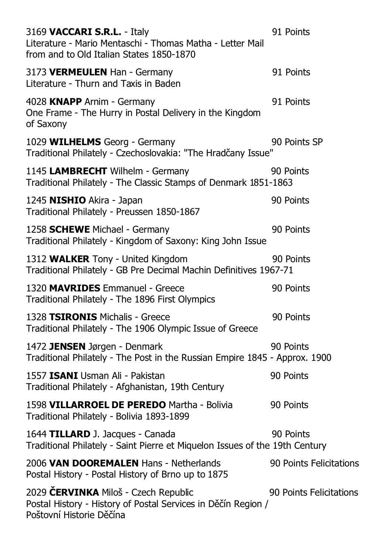| 3169 VACCARI S.R.L. - Italy<br>Literature - Mario Mentaschi - Thomas Matha - Letter Mail<br>from and to Old Italian States 1850-1870 | 91 Points               |
|--------------------------------------------------------------------------------------------------------------------------------------|-------------------------|
| 3173 VERMEULEN Han - Germany<br>Literature - Thurn and Taxis in Baden                                                                | 91 Points               |
| 4028 KNAPP Arnim - Germany<br>One Frame - The Hurry in Postal Delivery in the Kingdom<br>of Saxony                                   | 91 Points               |
| 1029 WILHELMS Georg - Germany<br>Traditional Philately - Czechoslovakia: "The Hradčany Issue"                                        | 90 Points SP            |
| 1145 LAMBRECHT Wilhelm - Germany<br>Traditional Philately - The Classic Stamps of Denmark 1851-1863                                  | 90 Points               |
| 1245 NISHIO Akira - Japan<br>Traditional Philately - Preussen 1850-1867                                                              | 90 Points               |
| 1258 <b>SCHEWE</b> Michael - Germany<br>Traditional Philately - Kingdom of Saxony: King John Issue                                   | 90 Points               |
| 1312 WALKER Tony - United Kingdom<br>Traditional Philately - GB Pre Decimal Machin Definitives 1967-71                               | 90 Points               |
| 1320 MAVRIDES Emmanuel - Greece<br>Traditional Philately - The 1896 First Olympics                                                   | 90 Points               |
| 1328 TSIRONIS Michalis - Greece<br>Traditional Philately - The 1906 Olympic Issue of Greece                                          | 90 Points               |
| 1472 JENSEN Jørgen - Denmark<br>Traditional Philately - The Post in the Russian Empire 1845 - Approx. 1900                           | 90 Points               |
| 1557 ISANI Usman Ali - Pakistan<br>Traditional Philately - Afghanistan, 19th Century                                                 | 90 Points               |
| 1598 VILLARROEL DE PEREDO Martha - Bolivia<br>Traditional Philately - Bolivia 1893-1899                                              | 90 Points               |
| 1644 TILLARD J. Jacques - Canada<br>Traditional Philately - Saint Pierre et Miquelon Issues of the 19th Century                      | 90 Points               |
| 2006 VAN DOOREMALEN Hans - Netherlands<br>Postal History - Postal History of Brno up to 1875                                         | 90 Points Felicitations |
| 2029 ČERVINKA Miloš - Czech Republic<br>Postal History - History of Postal Services in Děčín Region /<br>Poštovní Historie Děčína    | 90 Points Felicitations |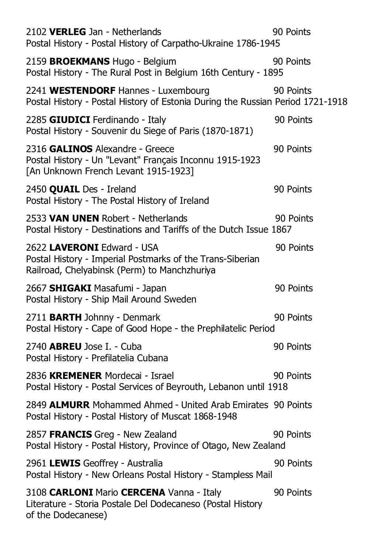| 2102 VERLEG Jan - Netherlands<br>Postal History - Postal History of Carpatho-Ukraine 1786-1945                                          | 90 Points |
|-----------------------------------------------------------------------------------------------------------------------------------------|-----------|
| 2159 BROEKMANS Hugo - Belgium<br>Postal History - The Rural Post in Belgium 16th Century - 1895                                         | 90 Points |
| 2241 WESTENDORF Hannes - Luxembourg<br>Postal History - Postal History of Estonia During the Russian Period 1721-1918                   | 90 Points |
| 2285 GIUDICI Ferdinando - Italy<br>Postal History - Souvenir du Siege of Paris (1870-1871)                                              | 90 Points |
| 2316 GALINOS Alexandre - Greece<br>Postal History - Un "Levant" Français Inconnu 1915-1923<br>[An Unknown French Levant 1915-1923]      | 90 Points |
| 2450 QUAIL Des - Ireland<br>Postal History - The Postal History of Ireland                                                              | 90 Points |
| 2533 VAN UNEN Robert - Netherlands<br>Postal History - Destinations and Tariffs of the Dutch Issue 1867                                 | 90 Points |
| 2622 LAVERONI Edward - USA<br>Postal History - Imperial Postmarks of the Trans-Siberian<br>Railroad, Chelyabinsk (Perm) to Manchzhuriya | 90 Points |
| 2667 SHIGAKI Masafumi - Japan<br>Postal History - Ship Mail Around Sweden                                                               | 90 Points |
| 2711 BARTH Johnny - Denmark<br>Postal History - Cape of Good Hope - the Prephilatelic Period                                            | 90 Points |
| 2740 <b>ABREU</b> Jose I. - Cuba<br>Postal History - Prefilatelia Cubana                                                                | 90 Points |
| 2836 KREMENER Mordecai - Israel<br>Postal History - Postal Services of Beyrouth, Lebanon until 1918                                     | 90 Points |
| 2849 ALMURR Mohammed Ahmed - United Arab Emirates 90 Points<br>Postal History - Postal History of Muscat 1868-1948                      |           |
| 2857 FRANCIS Greg - New Zealand<br>Postal History - Postal History, Province of Otago, New Zealand                                      | 90 Points |
| 2961 LEWIS Geoffrey - Australia<br>Postal History - New Orleans Postal History - Stampless Mail                                         | 90 Points |
| 3108 CARLONI Mario CERCENA Vanna - Italy<br>Literature - Storia Postale Del Dodecaneso (Postal History<br>of the Dodecanese)            | 90 Points |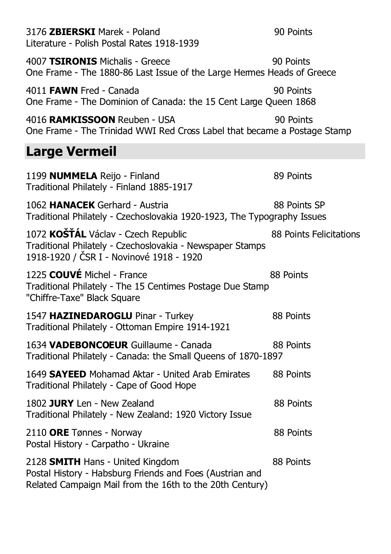3176 **ZBIERSKI** Marek - Poland 90 Points Literature - Polish Postal Rates 1918-1939 4007 **TSIRONIS** Michalis - Greece 90 Points One Frame - The 1880-86 Last Issue of the Large Hermes Heads of Greece 4011 **FAWN** Fred - Canada 90 Points One Frame - The Dominion of Canada: the 15 Cent Large Queen 1868 4016 **RAMKISSOON** Reuben - USA 90 Points One Frame - The Trinidad WWI Red Cross Label that became a Postage Stamp **Large Vermeil**  1199 **NUMMELA** Reijo - Finland 89 Points Traditional Philately - Finland 1885-1917 1062 **HANACEK** Gerhard - Austria 88 Points SP Traditional Philately - Czechoslovakia 1920-1923, The Typography Issues 1072 **KOŠŤÁL** Václav - Czech Republic 88 Points Felicitations Traditional Philately - Czechoslovakia - Newspaper Stamps 1918-1920 / ýSR I - Novinové 1918 - 1920 1225 **COUVÉ** Michel - France 88 Points Traditional Philately - The 15 Centimes Postage Due Stamp "Chiffre-Taxe" Black Square 1547 HAZINEDAROGLU Pinar - Turkey 88 Points Traditional Philately - Ottoman Empire 1914-1921 1634 **VADEBONCOEUR** Guillaume - Canada 88 Points Traditional Philately - Canada: the Small Queens of 1870-1897 1649 **SAYEED** Mohamad Aktar - United Arab Emirates 88 Points Traditional Philately - Cape of Good Hope 1802 **JURY** Len - New Zealand 88 Points Traditional Philately - New Zealand: 1920 Victory Issue 2110 ORE Tønnes - Norway 88 Points Postal History - Carpatho - Ukraine 2128 **SMITH** Hans - United Kingdom 88 Points Postal History - Habsburg Friends and Foes (Austrian and Related Campaign Mail from the 16th to the 20th Century)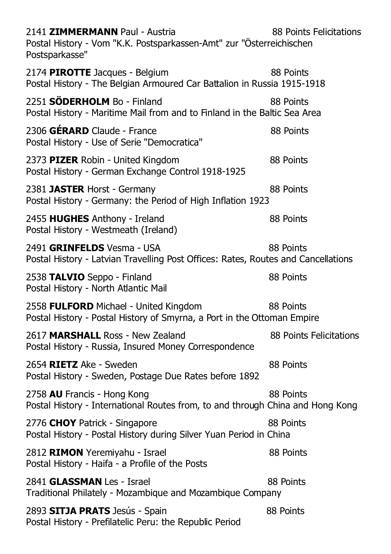| 2141 ZIMMERMANN Paul - Austria<br>Postal History - Vom "K.K. Postsparkassen-Amt" zur "Österreichischen<br>Postsparkasse" | 88 Points Felicitations |
|--------------------------------------------------------------------------------------------------------------------------|-------------------------|
| 2174 PIROTTE Jacques - Belgium<br>Postal History - The Belgian Armoured Car Battalion in Russia 1915-1918                | 88 Points               |
| 2251 <b>SÖDERHOLM</b> Bo - Finland<br>Postal History - Maritime Mail from and to Finland in the Baltic Sea Area          | 88 Points               |
| 2306 GÉRARD Claude - France<br>Postal History - Use of Serie "Democratica"                                               | 88 Points               |
| 2373 PIZER Robin - United Kingdom<br>Postal History - German Exchange Control 1918-1925                                  | 88 Points               |
| 2381 JASTER Horst - Germany<br>Postal History - Germany: the Period of High Inflation 1923                               | 88 Points               |
| 2455 HUGHES Anthony - Ireland<br>Postal History - Westmeath (Ireland)                                                    | 88 Points               |
| 2491 GRINFELDS Vesma - USA<br>Postal History - Latvian Travelling Post Offices: Rates, Routes and Cancellations          | 88 Points               |
| 2538 TALVIO Seppo - Finland<br>Postal History - North Atlantic Mail                                                      | 88 Points               |
| 2558 FULFORD Michael - United Kingdom<br>Postal History - Postal History of Smyrna, a Port in the Ottoman Empire         | 88 Points               |
| 2617 MARSHALL Ross - New Zealand<br>Postal History - Russia, Insured Money Correspondence                                | 88 Points Felicitations |
| 2654 RIETZ Ake - Sweden<br>Postal History - Sweden, Postage Due Rates before 1892                                        | 88 Points               |
| 2758 AU Francis - Hong Kong<br>Postal History - International Routes from, to and through China and Hong Kong            | 88 Points               |
| 2776 CHOY Patrick - Singapore<br>Postal History - Postal History during Silver Yuan Period in China                      | 88 Points               |
| 2812 RIMON Yeremiyahu - Israel<br>Postal History - Haifa - a Profile of the Posts                                        | 88 Points               |
| 2841 <b>GLASSMAN</b> Les - Israel<br>Traditional Philately - Mozambique and Mozambique Company                           | 88 Points               |
| 2893 SITJA PRATS Jesús - Spain<br>Postal History - Prefilatelic Peru: the Republic Period                                | 88 Points               |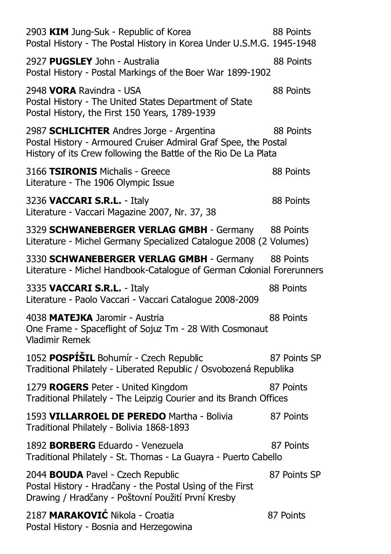| 2903 KIM Jung-Suk - Republic of Korea<br>Postal History - The Postal History in Korea Under U.S.M.G. 1945-1948                                                                 | 88 Points    |
|--------------------------------------------------------------------------------------------------------------------------------------------------------------------------------|--------------|
| 2927 PUGSLEY John - Australia<br>Postal History - Postal Markings of the Boer War 1899-1902                                                                                    | 88 Points    |
| 2948 VORA Ravindra - USA<br>Postal History - The United States Department of State<br>Postal History, the First 150 Years, 1789-1939                                           | 88 Points    |
| 2987 SCHLICHTER Andres Jorge - Argentina<br>Postal History - Armoured Cruiser Admiral Graf Spee, the Postal<br>History of its Crew following the Battle of the Rio De La Plata | 88 Points    |
| 3166 TSIRONIS Michalis - Greece<br>Literature - The 1906 Olympic Issue                                                                                                         | 88 Points    |
| 3236 VACCARI S.R.L. - Italy<br>Literature - Vaccari Magazine 2007, Nr. 37, 38                                                                                                  | 88 Points    |
| 3329 SCHWANEBERGER VERLAG GMBH - Germany<br>Literature - Michel Germany Specialized Catalogue 2008 (2 Volumes)                                                                 | 88 Points    |
| 3330 SCHWANEBERGER VERLAG GMBH - Germany 88 Points<br>Literature - Michel Handbook-Catalogue of German Colonial Forerunners                                                    |              |
|                                                                                                                                                                                |              |
| 3335 VACCARI S.R.L. - Italy<br>Literature - Paolo Vaccari - Vaccari Catalogue 2008-2009                                                                                        | 88 Points    |
| 4038 MATEJKA Jaromir - Austria<br>One Frame - Spaceflight of Sojuz Tm - 28 With Cosmonaut<br><b>Vladimir Remek</b>                                                             | 88 Points    |
| 1052 POSPÍŠIL Bohumír - Czech Republic<br>Traditional Philately - Liberated Republic / Osvobozená Republika                                                                    | 87 Points SP |
| 1279 ROGERS Peter - United Kingdom<br>Traditional Philately - The Leipzig Courier and its Branch Offices                                                                       | 87 Points    |
| 1593 VILLARROEL DE PEREDO Martha - Bolivia<br>Traditional Philately - Bolivia 1868-1893                                                                                        | 87 Points    |
| 1892 <b>BORBERG</b> Eduardo - Venezuela<br>Traditional Philately - St. Thomas - La Guayra - Puerto Cabello                                                                     | 87 Points    |
| 2044 BOUDA Pavel - Czech Republic<br>Postal History - Hradčany - the Postal Using of the First<br>Drawing / Hradčany - Poštovní Použití První Kresby                           | 87 Points SP |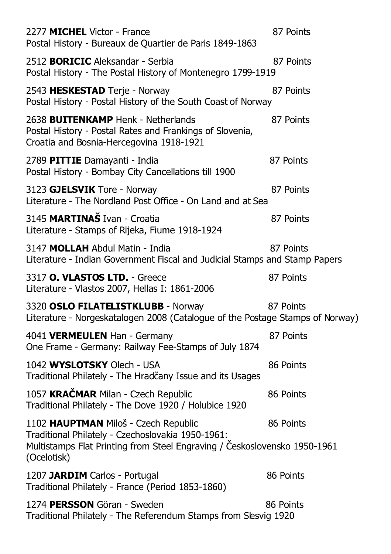| 2277 MICHEL Victor - France<br>Postal History - Bureaux de Quartier de Paris 1849-1863                                                                                                | 87 Points |
|---------------------------------------------------------------------------------------------------------------------------------------------------------------------------------------|-----------|
| 2512 <b>BORICIC</b> Aleksandar - Serbia<br>Postal History - The Postal History of Montenegro 1799-1919                                                                                | 87 Points |
| 2543 HESKESTAD Terje - Norway<br>Postal History - Postal History of the South Coast of Norway                                                                                         | 87 Points |
| 2638 <b>BUITENKAMP</b> Henk - Netherlands<br>Postal History - Postal Rates and Frankings of Slovenia,<br>Croatia and Bosnia-Hercegovina 1918-1921                                     | 87 Points |
| 2789 PITTIE Damayanti - India<br>Postal History - Bombay City Cancellations till 1900                                                                                                 | 87 Points |
| 3123 GJELSVIK Tore - Norway<br>Literature - The Nordland Post Office - On Land and at Sea                                                                                             | 87 Points |
| 3145 MARTINAŠ Ivan - Croatia<br>Literature - Stamps of Rijeka, Fiume 1918-1924                                                                                                        | 87 Points |
| 3147 MOLLAH Abdul Matin - India<br>Literature - Indian Government Fiscal and Judicial Stamps and Stamp Papers                                                                         | 87 Points |
| 3317 O. VLASTOS LTD. - Greece<br>Literature - Vlastos 2007, Hellas I: 1861-2006                                                                                                       | 87 Points |
| 3320 OSLO FILATELISTKLUBB - Norway<br>Literature - Norgeskatalogen 2008 (Catalogue of the Postage Stamps of Norway)                                                                   | 87 Points |
| 4041 VERMEULEN Han - Germany<br>One Frame - Germany: Railway Fee-Stamps of July 1874                                                                                                  | 87 Points |
| 1042 WYSLOTSKY Olech - USA<br>Traditional Philately - The Hradčany Issue and its Usages                                                                                               | 86 Points |
| 1057 KRAČMAR Milan - Czech Republic<br>Traditional Philately - The Dove 1920 / Holubice 1920                                                                                          | 86 Points |
| 1102 HAUPTMAN Miloš - Czech Republic<br>Traditional Philately - Czechoslovakia 1950-1961:<br>Multistamps Flat Printing from Steel Engraving / Československo 1950-1961<br>(Ocelotisk) | 86 Points |
| 1207 JARDIM Carlos - Portugal<br>Traditional Philately - France (Period 1853-1860)                                                                                                    | 86 Points |
| 1274 PERSSON Göran - Sweden<br>Traditional Philately - The Referendum Stamps from Slesvig 1920                                                                                        | 86 Points |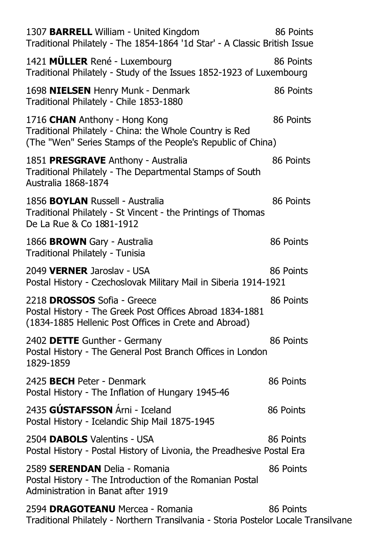| 1307 BARRELL William - United Kingdom<br>Traditional Philately - The 1854-1864 '1d Star' - A Classic British Issue                                      | 86 Points |
|---------------------------------------------------------------------------------------------------------------------------------------------------------|-----------|
| 1421 MÜLLER René - Luxembourg<br>Traditional Philately - Study of the Issues 1852-1923 of Luxembourg                                                    | 86 Points |
| 1698 NIELSEN Henry Munk - Denmark<br>Traditional Philately - Chile 1853-1880                                                                            | 86 Points |
| 1716 CHAN Anthony - Hong Kong<br>Traditional Philately - China: the Whole Country is Red<br>(The "Wen" Series Stamps of the People's Republic of China) | 86 Points |
| 1851 PRESGRAVE Anthony - Australia<br>Traditional Philately - The Departmental Stamps of South<br>Australia 1868-1874                                   | 86 Points |
| 1856 <b>BOYLAN</b> Russell - Australia<br>Traditional Philately - St Vincent - the Printings of Thomas<br>De La Rue & Co 1881-1912                      | 86 Points |
| 1866 <b>BROWN</b> Gary - Australia<br>Traditional Philately - Tunisia                                                                                   | 86 Points |
| 2049 VERNER Jaroslav - USA<br>Postal History - Czechoslovak Military Mail in Siberia 1914-1921                                                          | 86 Points |
| 2218 DROSSOS Sofia - Greece<br>Postal History - The Greek Post Offices Abroad 1834-1881<br>(1834-1885 Hellenic Post Offices in Crete and Abroad)        | 86 Points |
| 2402 DETTE Gunther - Germany<br>Postal History - The General Post Branch Offices in London<br>1829-1859                                                 | 86 Points |
| 2425 BECH Peter - Denmark<br>Postal History - The Inflation of Hungary 1945-46                                                                          | 86 Points |
| 2435 GÚSTAFSSON Árni - Iceland<br>Postal History - Icelandic Ship Mail 1875-1945                                                                        | 86 Points |
| 2504 DABOLS Valentins - USA<br>Postal History - Postal History of Livonia, the Preadhesive Postal Era                                                   | 86 Points |
| 2589 SERENDAN Delia - Romania<br>Postal History - The Introduction of the Romanian Postal<br>Administration in Banat after 1919                         | 86 Points |
| 2594 DRAGOTEANU Mercea - Romania<br>Traditional Philately - Northern Transilvania - Storia Postelor Locale Transilvane                                  | 86 Points |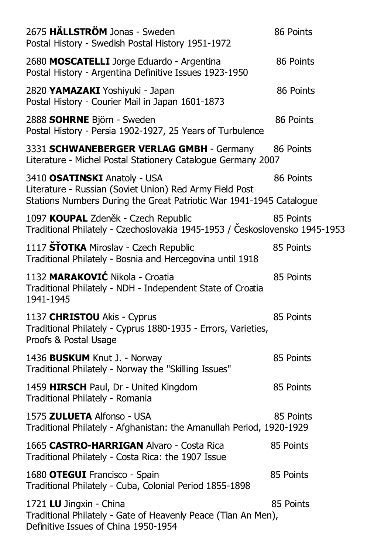| 2675 HÄLLSTRÖM Jonas - Sweden<br>Postal History - Swedish Postal History 1951-1972                                                                             | 86 Points |
|----------------------------------------------------------------------------------------------------------------------------------------------------------------|-----------|
| 2680 MOSCATELLI Jorge Eduardo - Argentina<br>Postal History - Argentina Definitive Issues 1923-1950                                                            | 86 Points |
| 2820 YAMAZAKI Yoshiyuki - Japan<br>Postal History - Courier Mail in Japan 1601-1873                                                                            | 86 Points |
| 2888 SOHRNE Björn - Sweden<br>Postal History - Persia 1902-1927, 25 Years of Turbulence                                                                        | 86 Points |
| 3331 SCHWANEBERGER VERLAG GMBH - Germany<br>Literature - Michel Postal Stationery Catalogue Germany 2007                                                       | 86 Points |
| 3410 OSATINSKI Anatoly - USA<br>Literature - Russian (Soviet Union) Red Army Field Post<br>Stations Numbers During the Great Patriotic War 1941-1945 Catalogue | 86 Points |
| 1097 KOUPAL Zdeněk - Czech Republic<br>Traditional Philately - Czechoslovakia 1945-1953 / Československo 1945-1953                                             | 85 Points |
| 1117 ŠŤOTKA Miroslav - Czech Republic<br>Traditional Philately - Bosnia and Hercegovina until 1918                                                             | 85 Points |
| 1132 MARAKOVIĆ Nikola - Croatia<br>Traditional Philately - NDH - Independent State of Croatia<br>1941-1945                                                     | 85 Points |
| 1137 CHRISTOU Akis - Cyprus<br>Traditional Philately - Cyprus 1880-1935 - Errors, Varieties,<br>Proofs & Postal Usage                                          | 85 Points |
| 1436 <b>BUSKUM</b> Knut J. - Norway<br>Traditional Philately - Norway the "Skilling Issues"                                                                    | 85 Points |
| 1459 HIRSCH Paul, Dr - United Kingdom<br>Traditional Philately - Romania                                                                                       | 85 Points |
| 1575 ZULUETA Alfonso - USA<br>Traditional Philately - Afghanistan: the Amanullah Period, 1920-1929                                                             | 85 Points |
| 1665 CASTRO-HARRIGAN Alvaro - Costa Rica<br>Traditional Philately - Costa Rica: the 1907 Issue                                                                 | 85 Points |
| 1680 OTEGUI Francisco - Spain<br>Traditional Philately - Cuba, Colonial Period 1855-1898                                                                       | 85 Points |
| 1721 LU Jingxin - China<br>Traditional Philately - Gate of Heavenly Peace (Tian An Men),<br>Definitive Issues of China 1950-1954                               | 85 Points |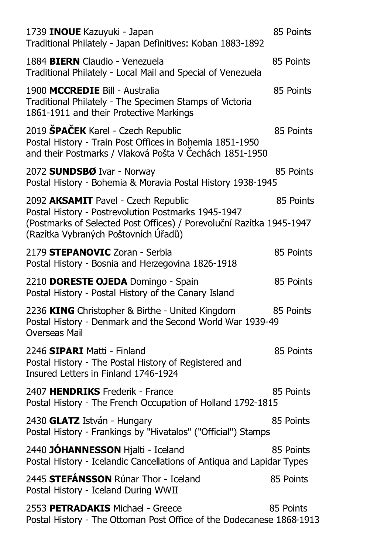| 1739 INOUE Kazuyuki - Japan<br>Traditional Philately - Japan Definitives: Koban 1883-1892                                                                                                                  | 85 Points |
|------------------------------------------------------------------------------------------------------------------------------------------------------------------------------------------------------------|-----------|
| 1884 BIERN Claudio - Venezuela<br>Traditional Philately - Local Mail and Special of Venezuela                                                                                                              | 85 Points |
| 1900 MCCREDIE Bill - Australia<br>Traditional Philately - The Specimen Stamps of Victoria<br>1861-1911 and their Protective Markings                                                                       | 85 Points |
| 2019 SPAČEK Karel - Czech Republic<br>Postal History - Train Post Offices in Bohemia 1851-1950<br>and their Postmarks / Vlaková Pošta V Čechách 1851-1950                                                  | 85 Points |
| 2072 SUNDSBØ Ivar - Norway<br>Postal History - Bohemia & Moravia Postal History 1938-1945                                                                                                                  | 85 Points |
| 2092 AKSAMIT Pavel - Czech Republic<br>Postal History - Postrevolution Postmarks 1945-1947<br>(Postmarks of Selected Post Offices) / Porevoluční Razítka 1945-1947<br>(Razítka Vybraných Poštovních Úřadů) | 85 Points |
| 2179 STEPANOVIC Zoran - Serbia<br>Postal History - Bosnia and Herzegovina 1826-1918                                                                                                                        | 85 Points |
| 2210 DORESTE OJEDA Domingo - Spain<br>Postal History - Postal History of the Canary Island                                                                                                                 | 85 Points |
| 2236 KING Christopher & Birthe - United Kingdom<br>Postal History - Denmark and the Second World War 1939-49<br>Overseas Mail                                                                              | 85 Points |
| 2246 SIPARI Matti - Finland<br>Postal History - The Postal History of Registered and<br>Insured Letters in Finland 1746-1924                                                                               | 85 Points |
| 2407 HENDRIKS Frederik - France<br>Postal History - The French Occupation of Holland 1792-1815                                                                                                             | 85 Points |
| 2430 GLATZ István - Hungary<br>Postal History - Frankings by "Hivatalos" ("Official") Stamps                                                                                                               | 85 Points |
| 2440 JÓHANNESSON Hjalti - Iceland<br>Postal History - Icelandic Cancellations of Antiqua and Lapidar Types                                                                                                 | 85 Points |
| 2445 STEFÁNSSON Rúnar Thor - Iceland<br>Postal History - Iceland During WWII                                                                                                                               | 85 Points |
| 2553 PETRADAKIS Michael - Greece<br>Postal History - The Ottoman Post Office of the Dodecanese 1868-1913                                                                                                   | 85 Points |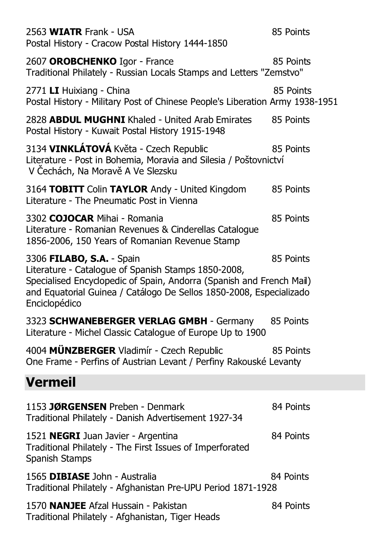| 2563 WIATR Frank - USA<br>Postal History - Cracow Postal History 1444-1850                                                                                                                                                                       | 85 Points |
|--------------------------------------------------------------------------------------------------------------------------------------------------------------------------------------------------------------------------------------------------|-----------|
| 2607 OROBCHENKO Igor - France<br>Traditional Philately - Russian Locals Stamps and Letters "Zemstvo"                                                                                                                                             | 85 Points |
| 2771 LI Huixiang - China<br>Postal History - Military Post of Chinese People's Liberation Army 1938-1951                                                                                                                                         | 85 Points |
| 2828 ABDUL MUGHNI Khaled - United Arab Emirates<br>Postal History - Kuwait Postal History 1915-1948                                                                                                                                              | 85 Points |
| 3134 VINKLÁTOVÁ Květa - Czech Republic<br>Literature - Post in Bohemia, Moravia and Silesia / Poštovnictví<br>V Čechách, Na Moravě A Ve Slezsku                                                                                                  | 85 Points |
| 3164 TOBITT Colin TAYLOR Andy - United Kingdom<br>Literature - The Pneumatic Post in Vienna                                                                                                                                                      | 85 Points |
| 3302 COJOCAR Mihai - Romania<br>Literature - Romanian Revenues & Cinderellas Catalogue<br>1856-2006, 150 Years of Romanian Revenue Stamp                                                                                                         | 85 Points |
| 3306 FILABO, S.A. - Spain<br>Literature - Catalogue of Spanish Stamps 1850-2008,<br>Specialised Encyclopedic of Spain, Andorra (Spanish and French Mail)<br>and Equatorial Guinea / Catálogo De Sellos 1850-2008, Especializado<br>Enciclopédico | 85 Points |
| 3323 SCHWANEBERGER VERLAG GMBH - Germany<br>Literature - Michel Classic Catalogue of Europe Up to 1900                                                                                                                                           | 85 Points |
| 4004 MÜNZBERGER Vladimír - Czech Republic<br>One Frame - Perfins of Austrian Levant / Perfiny Rakouské Levanty                                                                                                                                   | 85 Points |
| <b>Vermeil</b>                                                                                                                                                                                                                                   |           |
| 1153 JØRGENSEN Preben - Denmark<br>Traditional Philately - Danish Advertisement 1927-34                                                                                                                                                          | 84 Points |
| 1521 NEGRI Juan Javier - Argentina<br>Traditional Philately - The First Issues of Imperforated<br>Spanish Stamps                                                                                                                                 | 84 Points |
| 1565 DIBIASE John - Australia<br>Traditional Philately - Afghanistan Pre-UPU Period 1871-1928                                                                                                                                                    | 84 Points |
| 1570 NANJEE Afzal Hussain - Pakistan<br>Traditional Philately - Afghanistan, Tiger Heads                                                                                                                                                         | 84 Points |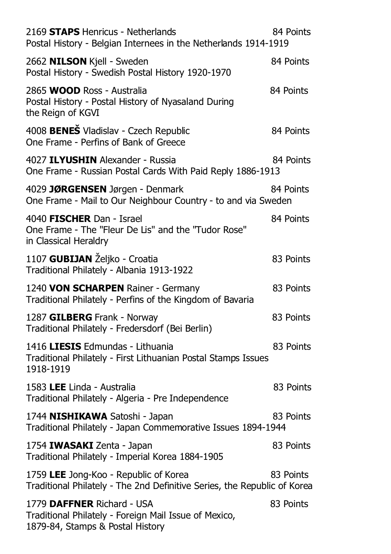| 2169 STAPS Henricus - Netherlands<br>Postal History - Belgian Internees in the Netherlands 1914-1919                    | 84 Points |
|-------------------------------------------------------------------------------------------------------------------------|-----------|
| 2662 NILSON Kjell - Sweden<br>Postal History - Swedish Postal History 1920-1970                                         | 84 Points |
| 2865 WOOD Ross - Australia<br>Postal History - Postal History of Nyasaland During<br>the Reign of KGVI                  | 84 Points |
| 4008 BENEŠ Vladislav - Czech Republic<br>One Frame - Perfins of Bank of Greece                                          | 84 Points |
| 4027 ILYUSHIN Alexander - Russia<br>One Frame - Russian Postal Cards With Paid Reply 1886-1913                          | 84 Points |
| 4029 JØRGENSEN Jørgen - Denmark<br>One Frame - Mail to Our Neighbour Country - to and via Sweden                        | 84 Points |
| 4040 FISCHER Dan - Israel<br>One Frame - The "Fleur De Lis" and the "Tudor Rose"<br>in Classical Heraldry               | 84 Points |
| 1107 GUBIJAN Željko - Croatia<br>Traditional Philately - Albania 1913-1922                                              | 83 Points |
| 1240 VON SCHARPEN Rainer - Germany<br>Traditional Philately - Perfins of the Kingdom of Bavaria                         | 83 Points |
| 1287 GILBERG Frank - Norway<br>Traditional Philately - Fredersdorf (Bei Berlin)                                         | 83 Points |
| 1416 LIESIS Edmundas - Lithuania<br>Traditional Philately - First Lithuanian Postal Stamps Issues<br>1918-1919          | 83 Points |
| 1583 LEE Linda - Australia<br>Traditional Philately - Algeria - Pre Independence                                        | 83 Points |
| 1744 NISHIKAWA Satoshi - Japan<br>Traditional Philately - Japan Commemorative Issues 1894-1944                          | 83 Points |
| 1754 IWASAKI Zenta - Japan<br>Traditional Philately - Imperial Korea 1884-1905                                          | 83 Points |
| 1759 LEE Jong-Koo - Republic of Korea<br>Traditional Philately - The 2nd Definitive Series, the Republic of Korea       | 83 Points |
| 1779 DAFFNER Richard - USA<br>Traditional Philately - Foreign Mail Issue of Mexico,<br>1879-84, Stamps & Postal History | 83 Points |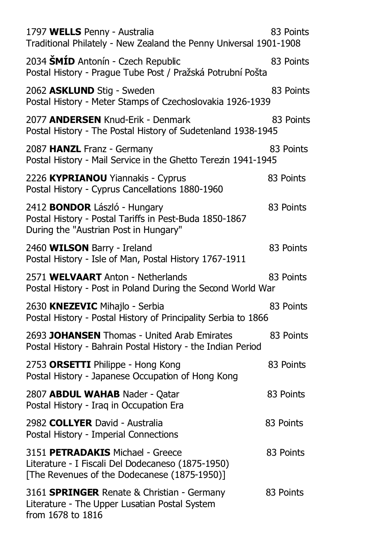| 1797 WELLS Penny - Australia<br>Traditional Philately - New Zealand the Penny Universal 1901-1908                                      | 83 Points |
|----------------------------------------------------------------------------------------------------------------------------------------|-----------|
| 2034 ŠMÍD Antonín - Czech Republic<br>Postal History - Prague Tube Post / Pražská Potrubní Pošta                                       | 83 Points |
| 2062 ASKLUND Stig - Sweden<br>Postal History - Meter Stamps of Czechoslovakia 1926-1939                                                | 83 Points |
| 2077 ANDERSEN Knud-Erik - Denmark<br>Postal History - The Postal History of Sudetenland 1938-1945                                      | 83 Points |
| 2087 HANZL Franz - Germany<br>Postal History - Mail Service in the Ghetto Terezin 1941-1945                                            | 83 Points |
| 2226 KYPRIANOU Yiannakis - Cyprus<br>Postal History - Cyprus Cancellations 1880-1960                                                   | 83 Points |
| 2412 <b>BONDOR</b> László - Hungary<br>Postal History - Postal Tariffs in Pest-Buda 1850-1867<br>During the "Austrian Post in Hungary" | 83 Points |
| 2460 WILSON Barry - Ireland<br>Postal History - Isle of Man, Postal History 1767-1911                                                  | 83 Points |
| 2571 WELVAART Anton - Netherlands<br>Postal History - Post in Poland During the Second World War                                       | 83 Points |
| 2630 KNEZEVIC Mihajlo - Serbia<br>Postal History - Postal History of Principality Serbia to 1866                                       | 83 Points |
| 2693 JOHANSEN Thomas - United Arab Emirates<br>Postal History - Bahrain Postal History - the Indian Period                             | 83 Points |
| 2753 ORSETTI Philippe - Hong Kong<br>Postal History - Japanese Occupation of Hong Kong                                                 | 83 Points |
| 2807 ABDUL WAHAB Nader - Qatar<br>Postal History - Iraq in Occupation Era                                                              | 83 Points |
| 2982 COLLYER David - Australia<br>Postal History - Imperial Connections                                                                | 83 Points |
| 3151 PETRADAKIS Michael - Greece<br>Literature - I Fiscali Del Dodecaneso (1875-1950)<br>[The Revenues of the Dodecanese (1875-1950)]  | 83 Points |
| 3161 <b>SPRINGER</b> Renate & Christian - Germany<br>Literature - The Upper Lusatian Postal System<br>from 1678 to 1816                | 83 Points |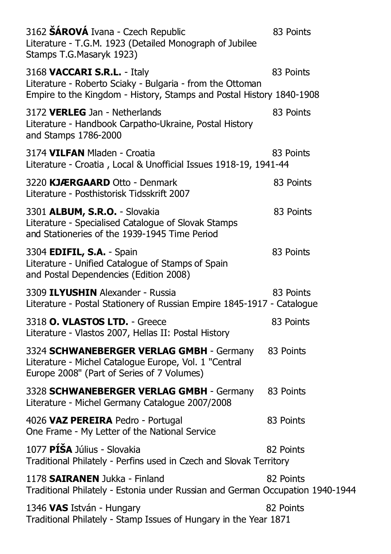| 3162 <b>ŠÁROVÁ</b> Ivana - Czech Republic<br>Literature - T.G.M. 1923 (Detailed Monograph of Jubilee<br>Stamps T.G.Masaryk 1923)                                 | 83 Points |
|------------------------------------------------------------------------------------------------------------------------------------------------------------------|-----------|
| 3168 VACCARI S.R.L. - Italy<br>Literature - Roberto Sciaky - Bulgaria - from the Ottoman<br>Empire to the Kingdom - History, Stamps and Postal History 1840-1908 | 83 Points |
| 3172 VERLEG Jan - Netherlands<br>Literature - Handbook Carpatho-Ukraine, Postal History<br>and Stamps 1786-2000                                                  | 83 Points |
| 3174 VILFAN Mladen - Croatia<br>Literature - Croatia, Local & Unofficial Issues 1918-19, 1941-44                                                                 | 83 Points |
| 3220 KJÆRGAARD Otto - Denmark<br>Literature - Posthistorisk Tidsskrift 2007                                                                                      | 83 Points |
| 3301 ALBUM, S.R.O. - Slovakia<br>Literature - Specialised Catalogue of Slovak Stamps<br>and Stationeries of the 1939-1945 Time Period                            | 83 Points |
| 3304 EDIFIL, S.A. - Spain<br>Literature - Unified Catalogue of Stamps of Spain<br>and Postal Dependencies (Edition 2008)                                         | 83 Points |
| 3309 <b>ILYUSHIN</b> Alexander - Russia<br>Literature - Postal Stationery of Russian Empire 1845-1917 - Catalogue                                                | 83 Points |
| 3318 O. VLASTOS LTD. - Greece<br>Literature - Vlastos 2007, Hellas II: Postal History                                                                            | 83 Points |
| 3324 SCHWANEBERGER VERLAG GMBH - Germany<br>Literature - Michel Catalogue Europe, Vol. 1 "Central<br>Europe 2008" (Part of Series of 7 Volumes)                  | 83 Points |
| 3328 SCHWANEBERGER VERLAG GMBH - Germany<br>Literature - Michel Germany Catalogue 2007/2008                                                                      | 83 Points |
| 4026 VAZ PEREIRA Pedro - Portugal<br>One Frame - My Letter of the National Service                                                                               | 83 Points |
| 1077 PÍŠA Július - Slovakia<br>Traditional Philately - Perfins used in Czech and Slovak Territory                                                                | 82 Points |
| 1178 SAIRANEN Jukka - Finland<br>Traditional Philately - Estonia under Russian and German Occupation 1940-1944                                                   | 82 Points |
| 1346 VAS István - Hungary<br>Traditional Philately - Stamp Issues of Hungary in the Year 1871                                                                    | 82 Points |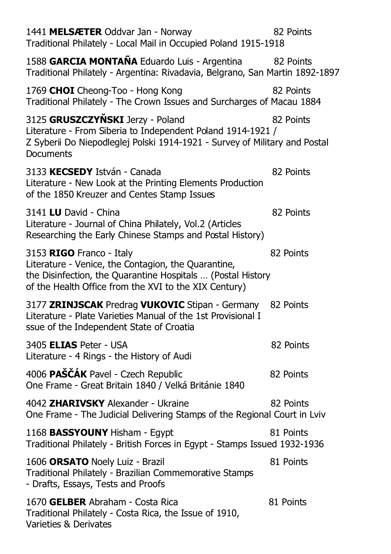| 1441 MELSÆTER Oddvar Jan - Norway<br>Traditional Philately - Local Mail in Occupied Poland 1915-1918                                                                                                    | 82 Points |
|---------------------------------------------------------------------------------------------------------------------------------------------------------------------------------------------------------|-----------|
| 1588 GARCIA MONTAÑA Eduardo Luis - Argentina                                                                                                                                                            | 82 Points |
| Traditional Philately - Argentina: Rivadavia, Belgrano, San Martin 1892-1897<br>1769 CHOI Cheong-Too - Hong Kong                                                                                        | 82 Points |
| Traditional Philately - The Crown Issues and Surcharges of Macau 1884                                                                                                                                   |           |
| 3125 GRUSZCZYŇSKI Jerzy - Poland<br>Literature - From Siberia to Independent Poland 1914-1921 /<br>Z Syberii Do Niepodleglej Polski 1914-1921 - Survey of Military and Postal<br>Documents              | 82 Points |
| 3133 KECSEDY István - Canada<br>Literature - New Look at the Printing Elements Production<br>of the 1850 Kreuzer and Centes Stamp Issues                                                                | 82 Points |
| 3141 LU David - China<br>Literature - Journal of China Philately, Vol.2 (Articles<br>Researching the Early Chinese Stamps and Postal History)                                                           | 82 Points |
| 3153 RIGO Franco - Italy<br>Literature - Venice, the Contagion, the Quarantine,<br>the Disinfection, the Quarantine Hospitals  (Postal History<br>of the Health Office from the XVI to the XIX Century) | 82 Points |
| 3177 ZRINJSCAK Predrag VUKOVIC Stipan - Germany 82 Points<br>Literature - Plate Varieties Manual of the 1st Provisional I<br>ssue of the Independent State of Croatia                                   |           |
| 3405 ELIAS Peter - USA<br>Literature - 4 Rings - the History of Audi                                                                                                                                    | 82 Points |
| 4006 PAŠČÁK Pavel - Czech Republic<br>One Frame - Great Britain 1840 / Velká Británie 1840                                                                                                              | 82 Points |
| 4042 ZHARIVSKY Alexander - Ukraine<br>One Frame - The Judicial Delivering Stamps of the Regional Court in Lviv                                                                                          | 82 Points |
| 1168 <b>BASSYOUNY</b> Hisham - Egypt<br>Traditional Philately - British Forces in Egypt - Stamps Issued 1932-1936                                                                                       | 81 Points |
| 1606 ORSATO Noely Luiz - Brazil<br>Traditional Philately - Brazilian Commemorative Stamps<br>- Drafts, Essays, Tests and Proofs                                                                         | 81 Points |
| 1670 GELBER Abraham - Costa Rica<br>Traditional Philately - Costa Rica, the Issue of 1910,<br>Varieties & Derivates                                                                                     | 81 Points |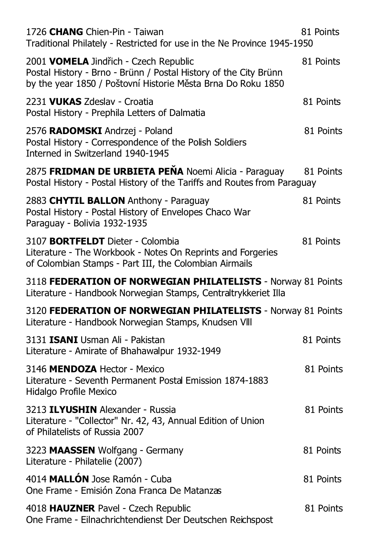| 1726 CHANG Chien-Pin - Taiwan<br>Traditional Philately - Restricted for use in the Ne Province 1945-1950                                                                  | 81 Points |
|---------------------------------------------------------------------------------------------------------------------------------------------------------------------------|-----------|
| 2001 VOMELA Jindřich - Czech Republic<br>Postal History - Brno - Brünn / Postal History of the City Brünn<br>by the year 1850 / Poštovní Historie Města Brna Do Roku 1850 | 81 Points |
| 2231 VUKAS Zdeslav - Croatia<br>Postal History - Prephila Letters of Dalmatia                                                                                             | 81 Points |
| 2576 RADOMSKI Andrzej - Poland<br>Postal History - Correspondence of the Polish Soldiers<br>Interned in Switzerland 1940-1945                                             | 81 Points |
| 2875 FRIDMAN DE URBIETA PEÑA Noemi Alicia - Paraguay<br>Postal History - Postal History of the Tariffs and Routes from Paraguay                                           | 81 Points |
| 2883 CHYTIL BALLON Anthony - Paraguay<br>Postal History - Postal History of Envelopes Chaco War<br>Paraguay - Bolivia 1932-1935                                           | 81 Points |
| 3107 <b>BORTFELDT</b> Dieter - Colombia<br>Literature - The Workbook - Notes On Reprints and Forgeries<br>of Colombian Stamps - Part III, the Colombian Airmails          | 81 Points |
| 3118 FEDERATION OF NORWEGIAN PHILATELISTS - Norway 81 Points<br>Literature - Handbook Norwegian Stamps, Centraltrykkeriet Illa                                            |           |
| 3120 FEDERATION OF NORWEGIAN PHILATELISTS - Norway 81 Points<br>Literature - Handbook Norwegian Stamps, Knudsen VIII                                                      |           |
| 3131 ISANI Usman Ali - Pakistan<br>Literature - Amirate of Bhahawalpur 1932-1949                                                                                          | 81 Points |
| 3146 MENDOZA Hector - Mexico<br>Literature - Seventh Permanent Postal Emission 1874-1883<br>Hidalgo Profile Mexico                                                        | 81 Points |
| 3213 ILYUSHIN Alexander - Russia<br>Literature - "Collector" Nr. 42, 43, Annual Edition of Union<br>of Philatelists of Russia 2007                                        | 81 Points |
| 3223 MAASSEN Wolfgang - Germany<br>Literature - Philatelie (2007)                                                                                                         | 81 Points |
| 4014 MALLÓN Jose Ramón - Cuba<br>One Frame - Emisión Zona Franca De Matanzas                                                                                              | 81 Points |
| 4018 HAUZNER Pavel - Czech Republic<br>One Frame - Eilnachrichtendienst Der Deutschen Reichspost                                                                          | 81 Points |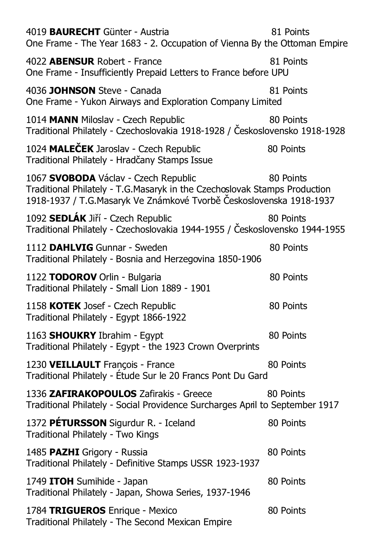| 4019 BAURECHT Günter - Austria<br>One Frame - The Year 1683 - 2. Occupation of Vienna By the Ottoman Empire                                                                              | 81 Points |
|------------------------------------------------------------------------------------------------------------------------------------------------------------------------------------------|-----------|
| 4022 <b>ABENSUR</b> Robert - France<br>One Frame - Insufficiently Prepaid Letters to France before UPU                                                                                   | 81 Points |
| 4036 JOHNSON Steve - Canada<br>One Frame - Yukon Airways and Exploration Company Limited                                                                                                 | 81 Points |
| 1014 MANN Miloslav - Czech Republic<br>Traditional Philately - Czechoslovakia 1918-1928 / Československo 1918-1928                                                                       | 80 Points |
| 1024 MALECEK Jaroslav - Czech Republic<br>Traditional Philately - Hradčany Stamps Issue                                                                                                  | 80 Points |
| 1067 SVOBODA Václav - Czech Republic<br>Traditional Philately - T.G.Masaryk in the Czechoslovak Stamps Production<br>1918-1937 / T.G.Masaryk Ve Známkové Tvorbě Československa 1918-1937 | 80 Points |
| 1092 SEDLÁK Jiří - Czech Republic<br>Traditional Philately - Czechoslovakia 1944-1955 / Československo 1944-1955                                                                         | 80 Points |
| 1112 DAHLVIG Gunnar - Sweden<br>Traditional Philately - Bosnia and Herzegovina 1850-1906                                                                                                 | 80 Points |
| 1122 TODOROV Orlin - Bulgaria<br>Traditional Philately - Small Lion 1889 - 1901                                                                                                          | 80 Points |
| 1158 KOTEK Josef - Czech Republic<br>Traditional Philately - Egypt 1866-1922                                                                                                             | 80 Points |
| 1163 SHOUKRY Ibrahim - Egypt<br>Traditional Philately - Egypt - the 1923 Crown Overprints                                                                                                | 80 Points |
| 1230 VEILLAULT François - France<br>Traditional Philately - Étude Sur le 20 Francs Pont Du Gard                                                                                          | 80 Points |
| 1336 ZAFIRAKOPOULOS Zafirakis - Greece<br>Traditional Philately - Social Providence Surcharges April to September 1917                                                                   | 80 Points |
| 1372 PÉTURSSON Sigurdur R. - Iceland<br>Traditional Philately - Two Kings                                                                                                                | 80 Points |
| 1485 PAZHI Grigory - Russia<br>Traditional Philately - Definitive Stamps USSR 1923-1937                                                                                                  | 80 Points |
| 1749 ITOH Sumihide - Japan<br>Traditional Philately - Japan, Showa Series, 1937-1946                                                                                                     | 80 Points |
| 1784 TRIGUEROS Enrique - Mexico<br>Traditional Philately - The Second Mexican Empire                                                                                                     | 80 Points |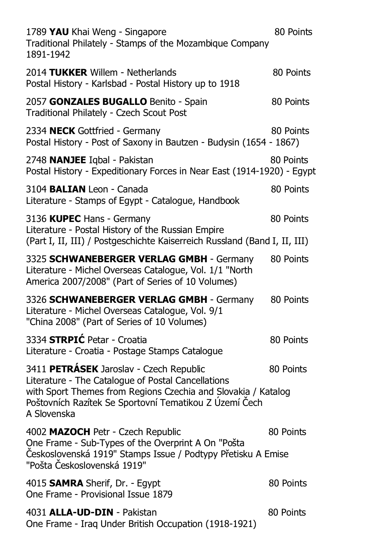| 1789 YAU Khai Weng - Singapore<br>Traditional Philately - Stamps of the Mozambique Company<br>1891-1942                                                                                                                                 | 80 Points |
|-----------------------------------------------------------------------------------------------------------------------------------------------------------------------------------------------------------------------------------------|-----------|
| 2014 TUKKER Willem - Netherlands<br>Postal History - Karlsbad - Postal History up to 1918                                                                                                                                               | 80 Points |
| 2057 GONZALES BUGALLO Benito - Spain<br>Traditional Philately - Czech Scout Post                                                                                                                                                        | 80 Points |
| 2334 NECK Gottfried - Germany<br>Postal History - Post of Saxony in Bautzen - Budysin (1654 - 1867)                                                                                                                                     | 80 Points |
| 2748 NANJEE Iqbal - Pakistan<br>Postal History - Expeditionary Forces in Near East (1914-1920) - Egypt                                                                                                                                  | 80 Points |
| 3104 BALIAN Leon - Canada<br>Literature - Stamps of Egypt - Catalogue, Handbook                                                                                                                                                         | 80 Points |
| 3136 KUPEC Hans - Germany<br>Literature - Postal History of the Russian Empire<br>(Part I, II, III) / Postgeschichte Kaiserreich Russland (Band I, II, III)                                                                             | 80 Points |
| 3325 SCHWANEBERGER VERLAG GMBH - Germany<br>Literature - Michel Overseas Catalogue, Vol. 1/1 "North<br>America 2007/2008" (Part of Series of 10 Volumes)                                                                                | 80 Points |
| 3326 SCHWANEBERGER VERLAG GMBH - Germany<br>Literature - Michel Overseas Catalogue, Vol. 9/1<br>"China 2008" (Part of Series of 10 Volumes)                                                                                             | 80 Points |
| 3334 <b>STRPIĆ</b> Petar - Croatia<br>Literature - Croatia - Postage Stamps Catalogue                                                                                                                                                   | 80 Points |
| 3411 PETRÁSEK Jaroslav - Czech Republic<br>Literature - The Catalogue of Postal Cancellations<br>with Sport Themes from Regions Czechia and Slovakia / Katalog<br>Poštovních Razítek Se Sportovní Tematikou Z Území Čech<br>A Slovenska | 80 Points |
| 4002 MAZOCH Petr - Czech Republic<br>One Frame - Sub-Types of the Overprint A On "Pošta<br>Československá 1919" Stamps Issue / Podtypy Přetisku A Emise<br>"Pošta Československá 1919"                                                  | 80 Points |
| 4015 <b>SAMRA</b> Sherif, Dr. - Egypt<br>One Frame - Provisional Issue 1879                                                                                                                                                             | 80 Points |
| 4031 ALLA-UD-DIN - Pakistan<br>One Frame - Iraq Under British Occupation (1918-1921)                                                                                                                                                    | 80 Points |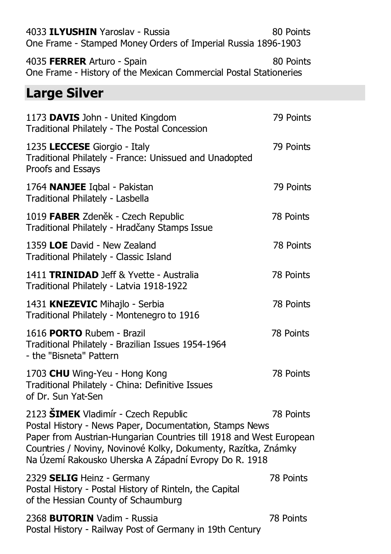| 4033 ILYUSHIN Yaroslav - Russia<br>One Frame - Stamped Money Orders of Imperial Russia 1896-1903                                                                                                                                                                                                  | 80 Points |
|---------------------------------------------------------------------------------------------------------------------------------------------------------------------------------------------------------------------------------------------------------------------------------------------------|-----------|
| 4035 FERRER Arturo - Spain<br>One Frame - History of the Mexican Commercial Postal Stationeries                                                                                                                                                                                                   | 80 Points |
| <b>Large Silver</b>                                                                                                                                                                                                                                                                               |           |
| 1173 DAVIS John - United Kingdom<br>Traditional Philately - The Postal Concession                                                                                                                                                                                                                 | 79 Points |
| 1235 LECCESE Giorgio - Italy<br>Traditional Philately - France: Unissued and Unadopted<br>Proofs and Essays                                                                                                                                                                                       | 79 Points |
| 1764 NANJEE Iqbal - Pakistan<br>Traditional Philately - Lasbella                                                                                                                                                                                                                                  | 79 Points |
| 1019 FABER Zdeněk - Czech Republic<br>Traditional Philately - Hradčany Stamps Issue                                                                                                                                                                                                               | 78 Points |
| 1359 LOE David - New Zealand<br>Traditional Philately - Classic Island                                                                                                                                                                                                                            | 78 Points |
| 1411 <b>TRINIDAD</b> Jeff & Yvette - Australia<br>Traditional Philately - Latvia 1918-1922                                                                                                                                                                                                        | 78 Points |
| 1431 KNEZEVIC Mihajlo - Serbia<br>Traditional Philately - Montenegro to 1916                                                                                                                                                                                                                      | 78 Points |
| 1616 <b>PORTO</b> Rubem - Brazil<br>Traditional Philately - Brazilian Issues 1954-1964<br>- the "Bisneta" Pattern                                                                                                                                                                                 | 78 Points |
| 1703 CHU Wing-Yeu - Hong Kong<br>Traditional Philately - China: Definitive Issues<br>of Dr. Sun Yat-Sen                                                                                                                                                                                           | 78 Points |
| 2123 ŠIMEK Vladimír - Czech Republic<br>Postal History - News Paper, Documentation, Stamps News<br>Paper from Austrian-Hungarian Countries till 1918 and West European<br>Countries / Noviny, Novinové Kolky, Dokumenty, Razítka, Známky<br>Na Území Rakousko Uherska A Západní Evropy Do R. 1918 | 78 Points |
| 2329 SELIG Heinz - Germany<br>Postal History - Postal History of Rinteln, the Capital<br>of the Hessian County of Schaumburg                                                                                                                                                                      | 78 Points |
| 2368 <b>BUTORIN</b> Vadim - Russia<br>Postal History - Railway Post of Germany in 19th Century                                                                                                                                                                                                    | 78 Points |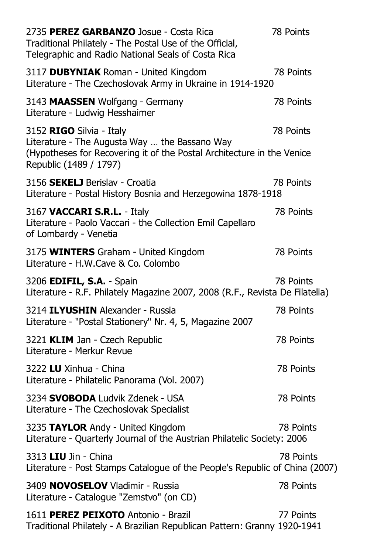| 2735 PEREZ GARBANZO Josue - Costa Rica<br>Traditional Philately - The Postal Use of the Official,<br>Telegraphic and Radio National Seals of Costa Rica                       | 78 Points |
|-------------------------------------------------------------------------------------------------------------------------------------------------------------------------------|-----------|
| 3117 DUBYNIAK Roman - United Kingdom<br>Literature - The Czechoslovak Army in Ukraine in 1914-1920                                                                            | 78 Points |
| 3143 MAASSEN Wolfgang - Germany<br>Literature - Ludwig Hesshaimer                                                                                                             | 78 Points |
| 3152 RIGO Silvia - Italy<br>Literature - The Augusta Way  the Bassano Way<br>(Hypotheses for Recovering it of the Postal Architecture in the Venice<br>Republic (1489 / 1797) | 78 Points |
| 3156 SEKELJ Berislav - Croatia<br>Literature - Postal History Bosnia and Herzegowina 1878-1918                                                                                | 78 Points |
| 3167 VACCARI S.R.L. - Italy<br>Literature - Paolo Vaccari - the Collection Emil Capellaro<br>of Lombardy - Venetia                                                            | 78 Points |
| 3175 WINTERS Graham - United Kingdom<br>Literature - H.W.Cave & Co. Colombo                                                                                                   | 78 Points |
| 3206 EDIFIL, S.A. - Spain<br>Literature - R.F. Philately Magazine 2007, 2008 (R.F., Revista De Filatelia)                                                                     | 78 Points |
| 3214 ILYUSHIN Alexander - Russia<br>Literature - "Postal Stationery" Nr. 4, 5, Magazine 2007                                                                                  | 78 Points |
| 3221 KLIM Jan - Czech Republic<br>Literature - Merkur Revue                                                                                                                   | 78 Points |
| 3222 LU Xinhua - China<br>Literature - Philatelic Panorama (Vol. 2007)                                                                                                        | 78 Points |
| 3234 SVOBODA Ludvik Zdenek - USA<br>Literature - The Czechoslovak Specialist                                                                                                  | 78 Points |
| 3235 TAYLOR Andy - United Kingdom<br>Literature - Quarterly Journal of the Austrian Philatelic Society: 2006                                                                  | 78 Points |
| 3313 LIU Jin - China<br>Literature - Post Stamps Catalogue of the People's Republic of China (2007)                                                                           | 78 Points |
| 3409 NOVOSELOV Vladimir - Russia<br>Literature - Catalogue "Zemstvo" (on CD)                                                                                                  | 78 Points |
| 1611 PEREZ PEIXOTO Antonio - Brazil<br>Traditional Philately - A Brazilian Republican Pattern: Granny 1920-1941                                                               | 77 Points |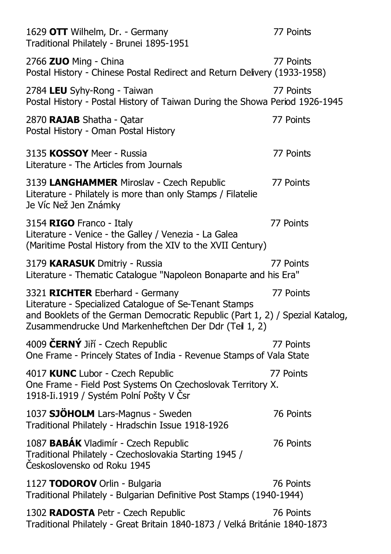| 1629 OTT Wilhelm, Dr. - Germany<br>Traditional Philately - Brunei 1895-1951                                                                                                                                                         | 77 Points |
|-------------------------------------------------------------------------------------------------------------------------------------------------------------------------------------------------------------------------------------|-----------|
| 2766 ZUO Ming - China<br>Postal History - Chinese Postal Redirect and Return Delivery (1933-1958)                                                                                                                                   | 77 Points |
| 2784 LEU Syhy-Rong - Taiwan<br>Postal History - Postal History of Taiwan During the Showa Period 1926-1945                                                                                                                          | 77 Points |
| 2870 RAJAB Shatha - Qatar<br>Postal History - Oman Postal History                                                                                                                                                                   | 77 Points |
| 3135 KOSSOY Meer - Russia<br>Literature - The Articles from Journals                                                                                                                                                                | 77 Points |
| 3139 LANGHAMMER Miroslav - Czech Republic<br>Literature - Philately is more than only Stamps / Filatelie<br>Je Víc Než Jen Známky                                                                                                   | 77 Points |
| 3154 RIGO Franco - Italy<br>Literature - Venice - the Galley / Venezia - La Galea<br>(Maritime Postal History from the XIV to the XVII Century)                                                                                     | 77 Points |
| 3179 KARASUK Dmitriy - Russia<br>Literature - Thematic Catalogue "Napoleon Bonaparte and his Era"                                                                                                                                   | 77 Points |
| 3321 RICHTER Eberhard - Germany<br>Literature - Specialized Catalogue of Se-Tenant Stamps<br>and Booklets of the German Democratic Republic (Part 1, 2) / Spezial Katalog,<br>Zusammendrucke Und Markenheftchen Der Ddr (Teil 1, 2) | 77 Points |
| 4009 ČERNÝ Jiří - Czech Republic<br>One Frame - Princely States of India - Revenue Stamps of Vala State                                                                                                                             | 77 Points |
| 4017 KUNC Lubor - Czech Republic<br>One Frame - Field Post Systems On Czechoslovak Territory X.<br>1918-Ii.1919 / Systém Polní Pošty V Čsr                                                                                          | 77 Points |
| 1037 SJÖHOLM Lars-Magnus - Sweden<br>Traditional Philately - Hradschin Issue 1918-1926                                                                                                                                              | 76 Points |
| 1087 BABÁK Vladimír - Czech Republic<br>Traditional Philately - Czechoslovakia Starting 1945 /<br>Československo od Roku 1945                                                                                                       | 76 Points |
| 1127 TODOROV Orlin - Bulgaria<br>Traditional Philately - Bulgarian Definitive Post Stamps (1940-1944)                                                                                                                               | 76 Points |
| 1302 RADOSTA Petr - Czech Republic<br>Traditional Philately - Great Britain 1840-1873 / Velká Británie 1840-1873                                                                                                                    | 76 Points |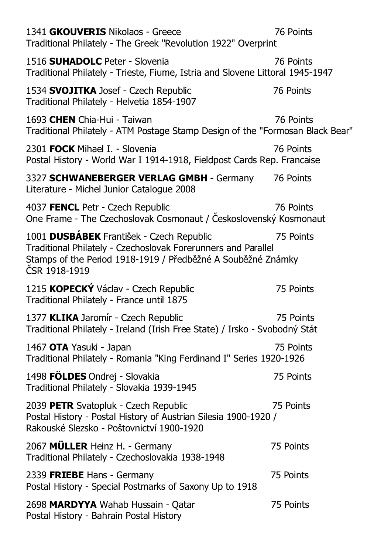| 1341 GKOUVERIS Nikolaos - Greece<br>Traditional Philately - The Greek "Revolution 1922" Overprint                                                                                          | 76 Points |
|--------------------------------------------------------------------------------------------------------------------------------------------------------------------------------------------|-----------|
| 1516 SUHADOLC Peter - Slovenia<br>Traditional Philately - Trieste, Fiume, Istria and Slovene Littoral 1945-1947                                                                            | 76 Points |
| 1534 SVOJITKA Josef - Czech Republic<br>Traditional Philately - Helvetia 1854-1907                                                                                                         | 76 Points |
| 1693 CHEN Chia-Hui - Taiwan<br>Traditional Philately - ATM Postage Stamp Design of the "Formosan Black Bear"                                                                               | 76 Points |
| 2301 FOCK Mihael I. - Slovenia<br>Postal History - World War I 1914-1918, Fieldpost Cards Rep. Francaise                                                                                   | 76 Points |
| 3327 SCHWANEBERGER VERLAG GMBH - Germany<br>Literature - Michel Junior Catalogue 2008                                                                                                      | 76 Points |
| 4037 FENCL Petr - Czech Republic<br>One Frame - The Czechoslovak Cosmonaut / Československý Kosmonaut                                                                                      | 76 Points |
| 1001 DUSBÁBEK František - Czech Republic<br>Traditional Philately - Czechoslovak Forerunners and Parallel<br>Stamps of the Period 1918-1919 / Předběžné A Souběžné Známky<br>ČSR 1918-1919 | 75 Points |
| 1215 KOPECKÝ Václav - Czech Republic<br>Traditional Philately - France until 1875                                                                                                          | 75 Points |
| 1377 KLIKA Jaromír - Czech Republic<br>Traditional Philately - Ireland (Irish Free State) / Irsko - Svobodný Stát                                                                          | 75 Points |
| 1467 OTA Yasuki - Japan<br>Traditional Philately - Romania "King Ferdinand I" Series 1920-1926                                                                                             | 75 Points |
| 1498 FÖLDES Ondrej - Slovakia<br>Traditional Philately - Slovakia 1939-1945                                                                                                                | 75 Points |
| 2039 PETR Svatopluk - Czech Republic<br>Postal History - Postal History of Austrian Silesia 1900-1920 /<br>Rakouské Slezsko - Poštovnictví 1900-1920                                       | 75 Points |
| 2067 MULLER Heinz H. - Germany<br>Traditional Philately - Czechoslovakia 1938-1948                                                                                                         | 75 Points |
| 2339 FRIEBE Hans - Germany<br>Postal History - Special Postmarks of Saxony Up to 1918                                                                                                      | 75 Points |
| 2698 MARDYYA Wahab Hussain - Qatar<br>Postal History - Bahrain Postal History                                                                                                              | 75 Points |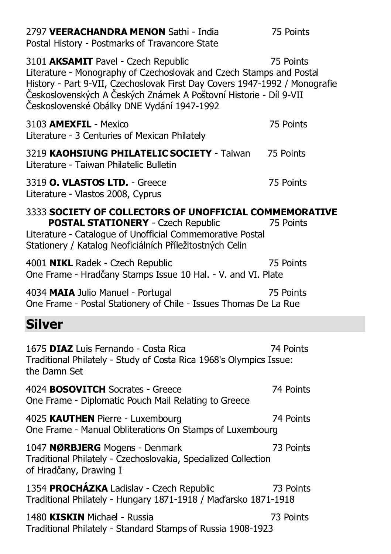| 2797 VEERACHANDRA MENON Sathi - India<br>Postal History - Postmarks of Travancore State                                                                                                                                                                                                                     | 75 Points |
|-------------------------------------------------------------------------------------------------------------------------------------------------------------------------------------------------------------------------------------------------------------------------------------------------------------|-----------|
| 3101 AKSAMIT Pavel - Czech Republic<br>Literature - Monography of Czechoslovak and Czech Stamps and Postal<br>History - Part 9-VII, Czechoslovak First Day Covers 1947-1992 / Monografie<br>Československých A Českých Známek A Poštovní Historie - Díl 9-VII<br>Československé Obálky DNE Vydání 1947-1992 | 75 Points |
| 3103 AMEXFIL - Mexico<br>Literature - 3 Centuries of Mexican Philately                                                                                                                                                                                                                                      | 75 Points |
| 3219 KAOHSIUNG PHILATELIC SOCIETY - Taiwan<br>Literature - Taiwan Philatelic Bulletin                                                                                                                                                                                                                       | 75 Points |
| 3319 O. VLASTOS LTD. - Greece<br>Literature - Vlastos 2008, Cyprus                                                                                                                                                                                                                                          | 75 Points |
| 3333 SOCIETY OF COLLECTORS OF UNOFFICIAL COMMEMORATIVE<br><b>POSTAL STATIONERY</b> - Czech Republic<br>Literature - Catalogue of Unofficial Commemorative Postal<br>Stationery / Katalog Neoficiálních Příležitostných Celin                                                                                | 75 Points |
| 4001 NIKL Radek - Czech Republic<br>One Frame - Hradčany Stamps Issue 10 Hal. - V. and VI. Plate                                                                                                                                                                                                            | 75 Points |
| 4034 MAIA Julio Manuel - Portugal<br>One Frame - Postal Stationery of Chile - Issues Thomas De La Rue                                                                                                                                                                                                       | 75 Points |
| Silver                                                                                                                                                                                                                                                                                                      |           |
| 1675 DIAZ Luis Fernando - Costa Rica<br>Traditional Philately - Study of Costa Rica 1968's Olympics Issue:<br>the Damn Set                                                                                                                                                                                  | 74 Points |
| 4024 <b>BOSOVITCH</b> Socrates - Greece<br>One Frame - Diplomatic Pouch Mail Relating to Greece                                                                                                                                                                                                             | 74 Points |
| 4025 KAUTHEN Pierre - Luxembourg<br>One Frame - Manual Obliterations On Stamps of Luxembourg                                                                                                                                                                                                                | 74 Points |
| 1047 NØRBJERG Mogens - Denmark<br>Traditional Philately - Czechoslovakia, Specialized Collection<br>of Hradčany, Drawing I                                                                                                                                                                                  | 73 Points |
| 1354 PROCHÁZKA Ladislav - Czech Republic<br>Traditional Philately - Hungary 1871-1918 / Maďarsko 1871-1918                                                                                                                                                                                                  | 73 Points |
| 1480 KISKIN Michael - Russia<br>Traditional Philately - Standard Stamps of Russia 1908-1923                                                                                                                                                                                                                 | 73 Points |
|                                                                                                                                                                                                                                                                                                             |           |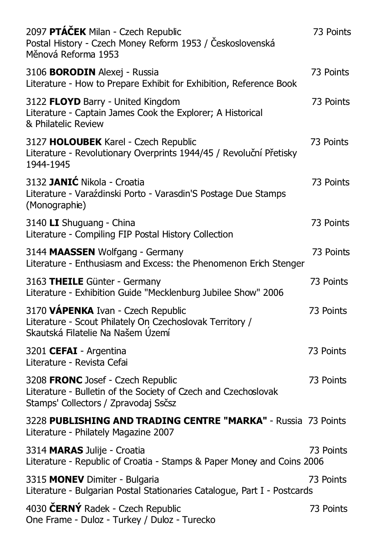| 2097 PTÁČEK Milan - Czech Republic<br>Postal History - Czech Money Reform 1953 / Československá<br>Měnová Reforma 1953                      | 73 Points |
|---------------------------------------------------------------------------------------------------------------------------------------------|-----------|
| 3106 BORODIN Alexej - Russia<br>Literature - How to Prepare Exhibit for Exhibition, Reference Book                                          | 73 Points |
| 3122 FLOYD Barry - United Kingdom<br>Literature - Captain James Cook the Explorer; A Historical<br>& Philatelic Review                      | 73 Points |
| 3127 HOLOUBEK Karel - Czech Republic<br>Literature - Revolutionary Overprints 1944/45 / Revoluční Přetisky<br>1944-1945                     | 73 Points |
| 3132 JANIĆ Nikola - Croatia<br>Literature - Varaźdinski Porto - Varasdin'S Postage Due Stamps<br>(Monographie)                              | 73 Points |
| 3140 LI Shuguang - China<br>Literature - Compiling FIP Postal History Collection                                                            | 73 Points |
| 3144 MAASSEN Wolfgang - Germany<br>Literature - Enthusiasm and Excess: the Phenomenon Erich Stenger                                         | 73 Points |
| 3163 THEILE Günter - Germany<br>Literature - Exhibition Guide "Mecklenburg Jubilee Show" 2006                                               | 73 Points |
| 3170 VÁPENKA Ivan - Czech Republic<br>Literature - Scout Philately On Czechoslovak Territory /<br>Skautská Filatelie Na Našem Území         | 73 Points |
| 3201 CEFAI - Argentina<br>Literature - Revista Cefai                                                                                        | 73 Points |
| 3208 FRONC Josef - Czech Republic<br>Literature - Bulletin of the Society of Czech and Czechoslovak<br>Stamps' Collectors / Zpravodaj Ssčsz | 73 Points |
| 3228 PUBLISHING AND TRADING CENTRE "MARKA" - Russia 73 Points<br>Literature - Philately Magazine 2007                                       |           |
| 3314 MARAS Julije - Croatia<br>Literature - Republic of Croatia - Stamps & Paper Money and Coins 2006                                       | 73 Points |
| 3315 MONEV Dimiter - Bulgaria<br>Literature - Bulgarian Postal Stationaries Catalogue, Part I - Postcards                                   | 73 Points |
| 4030 ČERNÝ Radek - Czech Republic<br>One Frame - Duloz - Turkey / Duloz - Turecko                                                           | 73 Points |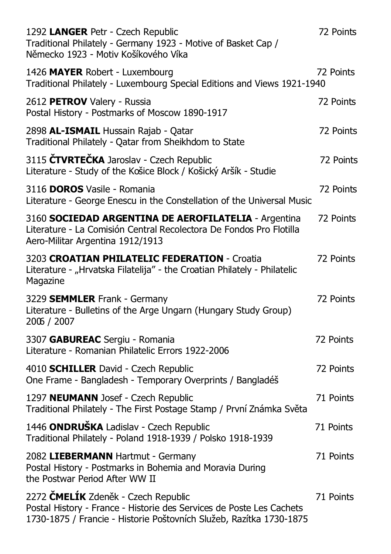| 1292 LANGER Petr - Czech Republic<br>Traditional Philately - Germany 1923 - Motive of Basket Cap /<br>Německo 1923 - Motiv Košíkového Víka                                         | 72 Points |
|------------------------------------------------------------------------------------------------------------------------------------------------------------------------------------|-----------|
| 1426 MAYER Robert - Luxembourg<br>Traditional Philately - Luxembourg Special Editions and Views 1921-1940                                                                          | 72 Points |
| 2612 PETROV Valery - Russia<br>Postal History - Postmarks of Moscow 1890-1917                                                                                                      | 72 Points |
| 2898 AL-ISMAIL Hussain Rajab - Qatar<br>Traditional Philately - Qatar from Sheikhdom to State                                                                                      | 72 Points |
| 3115 ČTVRTEČKA Jaroslav - Czech Republic<br>Literature - Study of the Košice Block / Košický Aršík - Studie                                                                        | 72 Points |
| 3116 DOROS Vasile - Romania<br>Literature - George Enescu in the Constellation of the Universal Music                                                                              | 72 Points |
| 3160 SOCIEDAD ARGENTINA DE AEROFILATELIA - Argentina<br>Literature - La Comisión Central Recolectora De Fondos Pro Flotilla<br>Aero-Militar Argentina 1912/1913                    | 72 Points |
| 3203 CROATIAN PHILATELIC FEDERATION - Croatia<br>Literature - "Hrvatska Filatelija" - the Croatian Philately - Philatelic<br>Magazine                                              | 72 Points |
| 3229 SEMMLER Frank - Germany<br>Literature - Bulletins of the Arge Ungarn (Hungary Study Group)<br>2006 / 2007                                                                     | 72 Points |
| 3307 GABUREAC Sergiu - Romania<br>Literature - Romanian Philatelic Errors 1922-2006                                                                                                | 72 Points |
| 4010 SCHILLER David - Czech Republic<br>One Frame - Bangladesh - Temporary Overprints / Bangladéš                                                                                  | 72 Points |
| 1297 NEUMANN Josef - Czech Republic<br>Traditional Philately - The First Postage Stamp / První Známka Světa                                                                        | 71 Points |
| 1446 ONDRUŠKA Ladislav - Czech Republic<br>Traditional Philately - Poland 1918-1939 / Polsko 1918-1939                                                                             | 71 Points |
| 2082 LIEBERMANN Hartmut - Germany<br>Postal History - Postmarks in Bohemia and Moravia During<br>the Postwar Period After WW II                                                    | 71 Points |
| 2272 ČMELÍK Zdeněk - Czech Republic<br>Postal History - France - Historie des Services de Poste Les Cachets<br>1730-1875 / Francie - Historie Poštovních Služeb, Razítka 1730-1875 | 71 Points |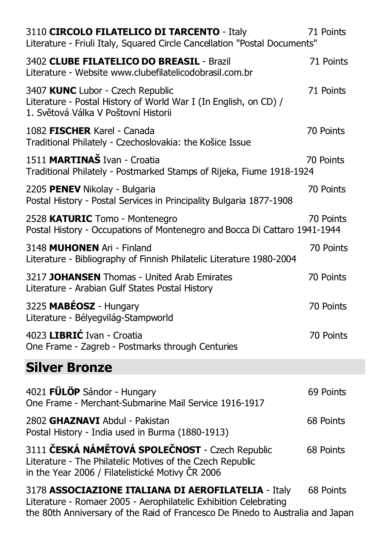| 3110 CIRCOLO FILATELICO DI TARCENTO - Italy<br>Literature - Friuli Italy, Squared Circle Cancellation "Postal Documents"                                         | 71 Points |
|------------------------------------------------------------------------------------------------------------------------------------------------------------------|-----------|
| 3402 CLUBE FILATELICO DO BREASIL - Brazil<br>Literature - Website www.clubefilatelicodobrasil.com.br                                                             | 71 Points |
| 3407 KUNC Lubor - Czech Republic<br>Literature - Postal History of World War I (In English, on CD) /<br>1. Světová Válka V Poštovní Historii                     | 71 Points |
| 1082 FISCHER Karel - Canada<br>Traditional Philately - Czechoslovakia: the Košice Issue                                                                          | 70 Points |
| 1511 MARTINAŠ Ivan - Croatia<br>Traditional Philately - Postmarked Stamps of Rijeka, Fiume 1918-1924                                                             | 70 Points |
| 2205 PENEV Nikolay - Bulgaria<br>Postal History - Postal Services in Principality Bulgaria 1877-1908                                                             | 70 Points |
| 2528 KATURIC Tomo - Montenegro<br>Postal History - Occupations of Montenegro and Bocca Di Cattaro 1941-1944                                                      | 70 Points |
| 3148 MUHONEN Ari - Finland<br>Literature - Bibliography of Finnish Philatelic Literature 1980-2004                                                               | 70 Points |
| 3217 JOHANSEN Thomas - United Arab Emirates<br>Literature - Arabian Gulf States Postal History                                                                   | 70 Points |
| 3225 MABÉOSZ - Hungary<br>Literature - Bélyegvilág-Stampworld                                                                                                    | 70 Points |
| 4023 LIBRIĆ Ivan - Croatia<br>One Frame - Zagreb - Postmarks through Centuries                                                                                   | 70 Points |
| <b>Silver Bronze</b>                                                                                                                                             |           |
| 4021 FÜLÖP Sándor - Hungary<br>One Frame - Merchant-Submarine Mail Service 1916-1917                                                                             | 69 Points |
| 2802 GHAZNAVI Abdul - Pakistan<br>Postal History - India used in Burma (1880-1913)                                                                               | 68 Points |
| 3111 ČESKÁ NÁMĚTOVÁ SPOLEČNOST - Czech Republic<br>Literature - The Philatelic Motives of the Czech Republic<br>in the Year 2006 / Filatelistické Motivy ČR 2006 | 68 Points |
| 3178 ASSOCIAZIONE ITALIANA DI AEROFILATELIA - Italy<br>Literature - Romaer 2005 - Aerophilatelic Exhibition Celebrating                                          | 68 Points |

the 80th Anniversary of the Raid of Francesco De Pinedo to Australia and Japan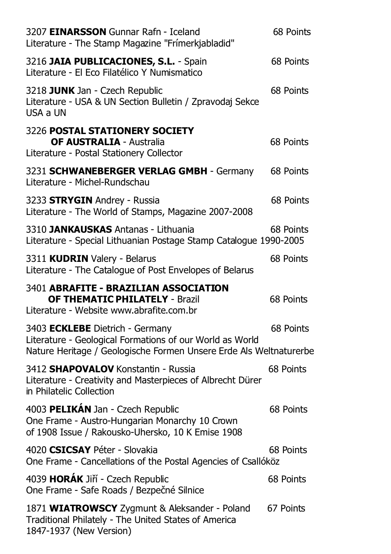| 3207 EINARSSON Gunnar Rafn - Iceland<br>Literature - The Stamp Magazine "Frímerkjabladid"                                                                         | 68 Points |
|-------------------------------------------------------------------------------------------------------------------------------------------------------------------|-----------|
| 3216 JAIA PUBLICACIONES, S.L. - Spain<br>Literature - El Eco Filatélico Y Numismatico                                                                             | 68 Points |
| 3218 JUNK Jan - Czech Republic<br>Literature - USA & UN Section Bulletin / Zpravodaj Sekce<br>USA a UN                                                            | 68 Points |
| 3226 POSTAL STATIONERY SOCIETY<br><b>OF AUSTRALIA - Australia</b><br>Literature - Postal Stationery Collector                                                     | 68 Points |
| 3231 SCHWANEBERGER VERLAG GMBH - Germany<br>Literature - Michel-Rundschau                                                                                         | 68 Points |
| 3233 <b>STRYGIN</b> Andrey - Russia<br>Literature - The World of Stamps, Magazine 2007-2008                                                                       | 68 Points |
| 3310 JANKAUSKAS Antanas - Lithuania<br>Literature - Special Lithuanian Postage Stamp Catalogue 1990-2005                                                          | 68 Points |
| 3311 KUDRIN Valery - Belarus<br>Literature - The Catalogue of Post Envelopes of Belarus                                                                           | 68 Points |
| 3401 ABRAFITE - BRAZILIAN ASSOCIATION<br><b>OF THEMATIC PHILATELY - Brazil</b><br>Literature - Website www.abrafite.com.br                                        | 68 Points |
| 3403 ECKLEBE Dietrich - Germany<br>Literature - Geological Formations of our World as World<br>Nature Heritage / Geologische Formen Unsere Erde Als Weltnaturerbe | 68 Points |
| 3412 SHAPOVALOV Konstantin - Russia<br>Literature - Creativity and Masterpieces of Albrecht Dürer<br>in Philatelic Collection                                     | 68 Points |
| 4003 PELIKÁN Jan - Czech Republic<br>One Frame - Austro-Hungarian Monarchy 10 Crown<br>of 1908 Issue / Rakousko-Uhersko, 10 K Emise 1908                          | 68 Points |
| 4020 CSICSAY Péter - Slovakia<br>One Frame - Cancellations of the Postal Agencies of Csallóköz                                                                    | 68 Points |
| 4039 HORÁK Jiří - Czech Republic<br>One Frame - Safe Roads / Bezpečné Silnice                                                                                     | 68 Points |
| 1871 WIATROWSCY Zygmunt & Aleksander - Poland<br>Traditional Philately - The United States of America<br>1847-1937 (New Version)                                  | 67 Points |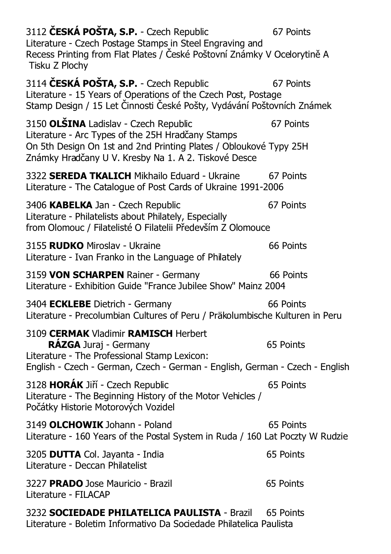| 3112 ČESKÁ POŠTA, S.P. - Czech Republic<br>Literature - Czech Postage Stamps in Steel Engraving and<br>Recess Printing from Flat Plates / České Poštovní Známky V Ocelorytině A<br>Tisku Z Plochy                       | 67 Points |
|-------------------------------------------------------------------------------------------------------------------------------------------------------------------------------------------------------------------------|-----------|
| 3114 ČESKÁ POŠTA, S.P. - Czech Republic<br>Literature - 15 Years of Operations of the Czech Post, Postage<br>Stamp Design / 15 Let Činnosti České Pošty, Vydávání Poštovních Známek                                     | 67 Points |
| 3150 OLŠINA Ladislav - Czech Republic<br>Literature - Arc Types of the 25H Hradčany Stamps<br>On 5th Design On 1st and 2nd Printing Plates / Obloukové Typy 25H<br>Známky Hradčany U V. Kresby Na 1. A 2. Tiskové Desce | 67 Points |
| 3322 SEREDA TKALICH Mikhailo Eduard - Ukraine<br>Literature - The Catalogue of Post Cards of Ukraine 1991-2006                                                                                                          | 67 Points |
| 3406 KABELKA Jan - Czech Republic<br>Literature - Philatelists about Philately, Especially<br>from Olomouc / Filatelisté O Filatelii Především Z Olomouce                                                               | 67 Points |
| 3155 RUDKO Miroslav - Ukraine<br>Literature - Ivan Franko in the Language of Philately                                                                                                                                  | 66 Points |
| 3159 VON SCHARPEN Rainer - Germany<br>Literature - Exhibition Guide "France Jubilee Show" Mainz 2004                                                                                                                    | 66 Points |
| 3404 ECKLEBE Dietrich - Germany<br>Literature - Precolumbian Cultures of Peru / Präkolumbische Kulturen in Peru                                                                                                         | 66 Points |
| 3109 CERMAK Vladimir RAMISCH Herbert<br>RÁZGA Juraj - Germany<br>Literature - The Professional Stamp Lexicon:<br>English - Czech - German, Czech - German - English, German - Czech - English                           | 65 Points |
| 3128 HORÁK Jiří - Czech Republic<br>Literature - The Beginning History of the Motor Vehicles /<br>Počátky Historie Motorových Vozidel                                                                                   | 65 Points |
| 3149 OLCHOWIK Johann - Poland<br>Literature - 160 Years of the Postal System in Ruda / 160 Lat Poczty W Rudzie                                                                                                          | 65 Points |
| 3205 DUTTA Col. Jayanta - India<br>Literature - Deccan Philatelist                                                                                                                                                      | 65 Points |
| 3227 PRADO Jose Mauricio - Brazil<br>Literature - FILACAP                                                                                                                                                               | 65 Points |
| 3232 SOCIEDADE PHILATELICA PAULISTA - Brazil<br>Literature - Boletim Informativo Da Sociedade Philatelica Paulista                                                                                                      | 65 Points |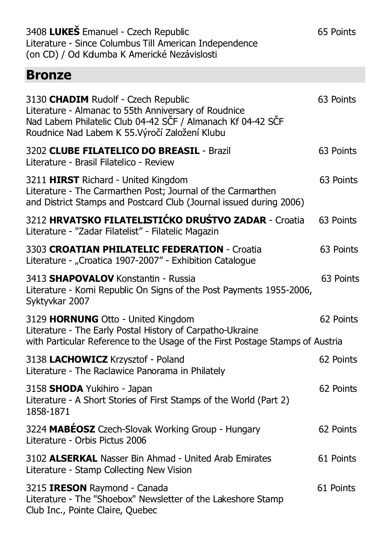| 3408 LUKEŠ Emanuel - Czech Republic<br>Literature - Since Columbus Till American Independence<br>(on CD) / Od Kdumba K Americké Nezávislosti                                                                 | 65 Points |
|--------------------------------------------------------------------------------------------------------------------------------------------------------------------------------------------------------------|-----------|
| <b>Bronze</b>                                                                                                                                                                                                |           |
| 3130 CHADIM Rudolf - Czech Republic<br>Literature - Almanac to 55th Anniversary of Roudnice<br>Nad Labem Philatelic Club 04-42 SČF / Almanach Kf 04-42 SČF<br>Roudnice Nad Labem K 55. Výročí Založení Klubu | 63 Points |
| 3202 CLUBE FILATELICO DO BREASIL - Brazil<br>Literature - Brasil Filatelico - Review                                                                                                                         | 63 Points |
| 3211 HIRST Richard - United Kingdom<br>Literature - The Carmarthen Post; Journal of the Carmarthen<br>and District Stamps and Postcard Club (Journal issued during 2006)                                     | 63 Points |
| 3212 HRVATSKO FILATELISTIĆKO DRUŚTVO ZADAR - Croatia<br>Literature - "Zadar Filatelist" - Filatelic Magazin                                                                                                  | 63 Points |
| 3303 CROATIAN PHILATELIC FEDERATION - Croatia<br>Literature - "Croatica 1907-2007" - Exhibition Catalogue                                                                                                    | 63 Points |
| 3413 SHAPOVALOV Konstantin - Russia<br>Literature - Komi Republic On Signs of the Post Payments 1955-2006,<br>Syktyvkar 2007                                                                                 | 63 Points |
| 3129 HORNUNG Otto - United Kingdom<br>Literature - The Early Postal History of Carpatho-Ukraine<br>with Particular Reference to the Usage of the First Postage Stamps of Austria                             | 62 Points |
| 3138 LACHOWICZ Krzysztof - Poland<br>Literature - The Raclawice Panorama in Philately                                                                                                                        | 62 Points |
| 3158 SHODA Yukihiro - Japan<br>Literature - A Short Stories of First Stamps of the World (Part 2)<br>1858-1871                                                                                               | 62 Points |
| 3224 MABÉOSZ Czech-Slovak Working Group - Hungary<br>Literature - Orbis Pictus 2006                                                                                                                          | 62 Points |
| 3102 ALSERKAL Nasser Bin Ahmad - United Arab Emirates<br>Literature - Stamp Collecting New Vision                                                                                                            | 61 Points |
| 3215 <b>IRESON</b> Raymond - Canada<br>Literature - The "Shoebox" Newsletter of the Lakeshore Stamp<br>Club Inc., Pointe Claire, Quebec                                                                      | 61 Points |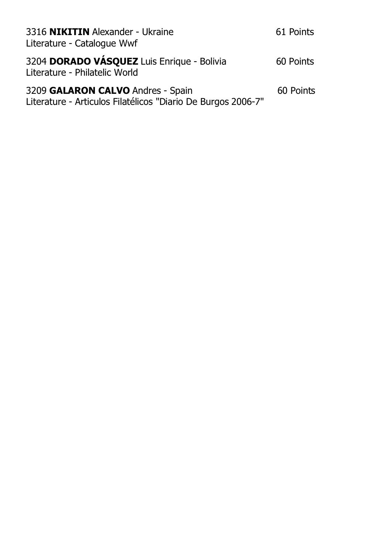| 3316 NIKITIN Alexander - Ukraine<br>Literature - Catalogue Wwf                                    | 61 Points |
|---------------------------------------------------------------------------------------------------|-----------|
| 3204 DORADO VÁSQUEZ Luis Enrique - Bolivia<br>Literature - Philatelic World                       | 60 Points |
| 3209 GALARON CALVO Andres - Spain<br>Literature - Articulos Filatélicos "Diario De Burgos 2006-7" | 60 Points |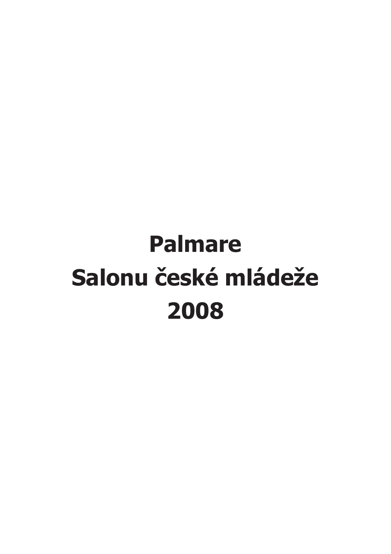## **Palmare Salonu české mládeže 2008**